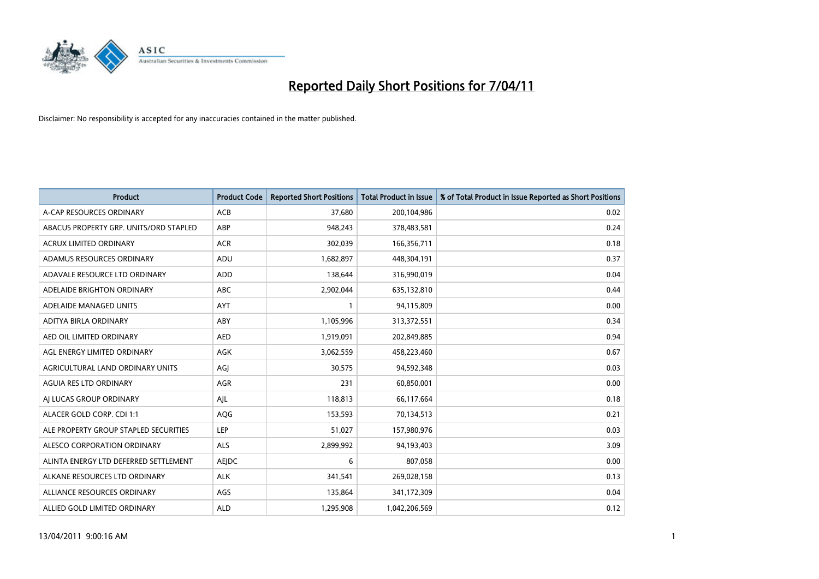

| Product                                | <b>Product Code</b> | <b>Reported Short Positions</b> | <b>Total Product in Issue</b> | % of Total Product in Issue Reported as Short Positions |
|----------------------------------------|---------------------|---------------------------------|-------------------------------|---------------------------------------------------------|
| A-CAP RESOURCES ORDINARY               | <b>ACB</b>          | 37,680                          | 200,104,986                   | 0.02                                                    |
| ABACUS PROPERTY GRP. UNITS/ORD STAPLED | ABP                 | 948,243                         | 378,483,581                   | 0.24                                                    |
| <b>ACRUX LIMITED ORDINARY</b>          | <b>ACR</b>          | 302,039                         | 166,356,711                   | 0.18                                                    |
| ADAMUS RESOURCES ORDINARY              | ADU                 | 1,682,897                       | 448,304,191                   | 0.37                                                    |
| ADAVALE RESOURCE LTD ORDINARY          | <b>ADD</b>          | 138,644                         | 316,990,019                   | 0.04                                                    |
| ADELAIDE BRIGHTON ORDINARY             | <b>ABC</b>          | 2,902,044                       | 635,132,810                   | 0.44                                                    |
| ADELAIDE MANAGED UNITS                 | <b>AYT</b>          |                                 | 94,115,809                    | 0.00                                                    |
| ADITYA BIRLA ORDINARY                  | ABY                 | 1,105,996                       | 313,372,551                   | 0.34                                                    |
| AED OIL LIMITED ORDINARY               | <b>AED</b>          | 1,919,091                       | 202,849,885                   | 0.94                                                    |
| AGL ENERGY LIMITED ORDINARY            | <b>AGK</b>          | 3,062,559                       | 458,223,460                   | 0.67                                                    |
| AGRICULTURAL LAND ORDINARY UNITS       | AGJ                 | 30,575                          | 94,592,348                    | 0.03                                                    |
| <b>AGUIA RES LTD ORDINARY</b>          | <b>AGR</b>          | 231                             | 60,850,001                    | 0.00                                                    |
| AI LUCAS GROUP ORDINARY                | AJL                 | 118,813                         | 66,117,664                    | 0.18                                                    |
| ALACER GOLD CORP. CDI 1:1              | AQG                 | 153,593                         | 70,134,513                    | 0.21                                                    |
| ALE PROPERTY GROUP STAPLED SECURITIES  | LEP                 | 51,027                          | 157,980,976                   | 0.03                                                    |
| ALESCO CORPORATION ORDINARY            | <b>ALS</b>          | 2,899,992                       | 94,193,403                    | 3.09                                                    |
| ALINTA ENERGY LTD DEFERRED SETTLEMENT  | AEJDC               | 6                               | 807,058                       | 0.00                                                    |
| ALKANE RESOURCES LTD ORDINARY          | <b>ALK</b>          | 341,541                         | 269,028,158                   | 0.13                                                    |
| ALLIANCE RESOURCES ORDINARY            | AGS                 | 135,864                         | 341,172,309                   | 0.04                                                    |
| ALLIED GOLD LIMITED ORDINARY           | <b>ALD</b>          | 1,295,908                       | 1,042,206,569                 | 0.12                                                    |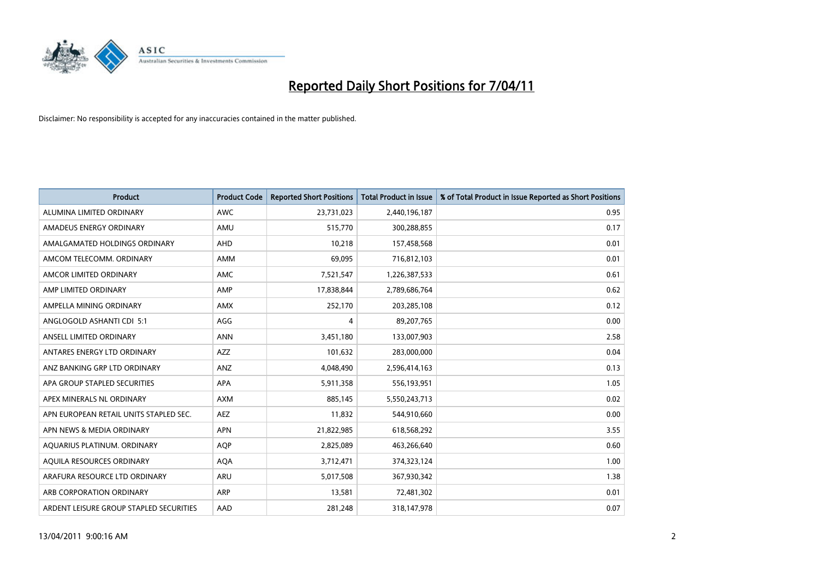

| <b>Product</b>                          | <b>Product Code</b> | <b>Reported Short Positions</b> | <b>Total Product in Issue</b> | % of Total Product in Issue Reported as Short Positions |
|-----------------------------------------|---------------------|---------------------------------|-------------------------------|---------------------------------------------------------|
| ALUMINA LIMITED ORDINARY                | <b>AWC</b>          | 23,731,023                      | 2,440,196,187                 | 0.95                                                    |
| AMADEUS ENERGY ORDINARY                 | AMU                 | 515,770                         | 300,288,855                   | 0.17                                                    |
| AMALGAMATED HOLDINGS ORDINARY           | <b>AHD</b>          | 10,218                          | 157,458,568                   | 0.01                                                    |
| AMCOM TELECOMM. ORDINARY                | <b>AMM</b>          | 69,095                          | 716,812,103                   | 0.01                                                    |
| AMCOR LIMITED ORDINARY                  | <b>AMC</b>          | 7,521,547                       | 1,226,387,533                 | 0.61                                                    |
| AMP LIMITED ORDINARY                    | AMP                 | 17,838,844                      | 2,789,686,764                 | 0.62                                                    |
| AMPELLA MINING ORDINARY                 | <b>AMX</b>          | 252,170                         | 203,285,108                   | 0.12                                                    |
| ANGLOGOLD ASHANTI CDI 5:1               | AGG                 | 4                               | 89,207,765                    | 0.00                                                    |
| ANSELL LIMITED ORDINARY                 | <b>ANN</b>          | 3,451,180                       | 133,007,903                   | 2.58                                                    |
| ANTARES ENERGY LTD ORDINARY             | AZZ                 | 101,632                         | 283,000,000                   | 0.04                                                    |
| ANZ BANKING GRP LTD ORDINARY            | ANZ                 | 4,048,490                       | 2,596,414,163                 | 0.13                                                    |
| APA GROUP STAPLED SECURITIES            | APA                 | 5,911,358                       | 556,193,951                   | 1.05                                                    |
| APEX MINERALS NL ORDINARY               | <b>AXM</b>          | 885.145                         | 5,550,243,713                 | 0.02                                                    |
| APN EUROPEAN RETAIL UNITS STAPLED SEC.  | <b>AEZ</b>          | 11,832                          | 544,910,660                   | 0.00                                                    |
| APN NEWS & MEDIA ORDINARY               | <b>APN</b>          | 21,822,985                      | 618,568,292                   | 3.55                                                    |
| AQUARIUS PLATINUM. ORDINARY             | <b>AOP</b>          | 2,825,089                       | 463,266,640                   | 0.60                                                    |
| AQUILA RESOURCES ORDINARY               | <b>AQA</b>          | 3,712,471                       | 374,323,124                   | 1.00                                                    |
| ARAFURA RESOURCE LTD ORDINARY           | ARU                 | 5,017,508                       | 367,930,342                   | 1.38                                                    |
| ARB CORPORATION ORDINARY                | <b>ARP</b>          | 13,581                          | 72,481,302                    | 0.01                                                    |
| ARDENT LEISURE GROUP STAPLED SECURITIES | AAD                 | 281,248                         | 318,147,978                   | 0.07                                                    |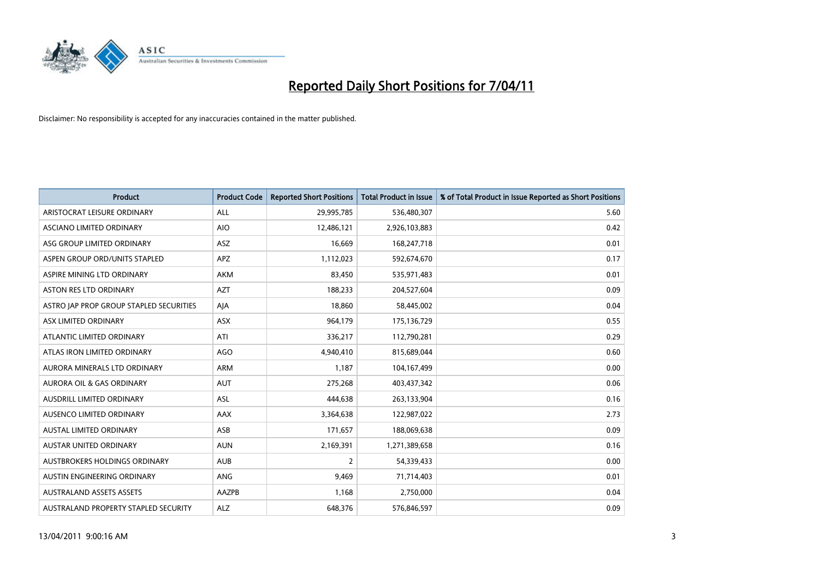

| <b>Product</b>                          | <b>Product Code</b> | <b>Reported Short Positions</b> | Total Product in Issue | % of Total Product in Issue Reported as Short Positions |
|-----------------------------------------|---------------------|---------------------------------|------------------------|---------------------------------------------------------|
| ARISTOCRAT LEISURE ORDINARY             | <b>ALL</b>          | 29,995,785                      | 536,480,307            | 5.60                                                    |
| <b>ASCIANO LIMITED ORDINARY</b>         | <b>AIO</b>          | 12,486,121                      | 2,926,103,883          | 0.42                                                    |
| ASG GROUP LIMITED ORDINARY              | <b>ASZ</b>          | 16,669                          | 168,247,718            | 0.01                                                    |
| ASPEN GROUP ORD/UNITS STAPLED           | <b>APZ</b>          | 1,112,023                       | 592,674,670            | 0.17                                                    |
| ASPIRE MINING LTD ORDINARY              | <b>AKM</b>          | 83,450                          | 535,971,483            | 0.01                                                    |
| ASTON RES LTD ORDINARY                  | <b>AZT</b>          | 188,233                         | 204,527,604            | 0.09                                                    |
| ASTRO JAP PROP GROUP STAPLED SECURITIES | AJA                 | 18.860                          | 58,445,002             | 0.04                                                    |
| ASX LIMITED ORDINARY                    | <b>ASX</b>          | 964,179                         | 175,136,729            | 0.55                                                    |
| ATLANTIC LIMITED ORDINARY               | ATI                 | 336,217                         | 112,790,281            | 0.29                                                    |
| ATLAS IRON LIMITED ORDINARY             | <b>AGO</b>          | 4,940,410                       | 815,689,044            | 0.60                                                    |
| AURORA MINERALS LTD ORDINARY            | <b>ARM</b>          | 1,187                           | 104,167,499            | 0.00                                                    |
| <b>AURORA OIL &amp; GAS ORDINARY</b>    | <b>AUT</b>          | 275,268                         | 403,437,342            | 0.06                                                    |
| AUSDRILL LIMITED ORDINARY               | <b>ASL</b>          | 444.638                         | 263,133,904            | 0.16                                                    |
| AUSENCO LIMITED ORDINARY                | <b>AAX</b>          | 3,364,638                       | 122,987,022            | 2.73                                                    |
| AUSTAL LIMITED ORDINARY                 | ASB                 | 171,657                         | 188,069,638            | 0.09                                                    |
| <b>AUSTAR UNITED ORDINARY</b>           | <b>AUN</b>          | 2,169,391                       | 1,271,389,658          | 0.16                                                    |
| AUSTBROKERS HOLDINGS ORDINARY           | <b>AUB</b>          | $\overline{2}$                  | 54,339,433             | 0.00                                                    |
| AUSTIN ENGINEERING ORDINARY             | ANG                 | 9,469                           | 71,714,403             | 0.01                                                    |
| <b>AUSTRALAND ASSETS ASSETS</b>         | <b>AAZPB</b>        | 1,168                           | 2,750,000              | 0.04                                                    |
| AUSTRALAND PROPERTY STAPLED SECURITY    | <b>ALZ</b>          | 648.376                         | 576,846,597            | 0.09                                                    |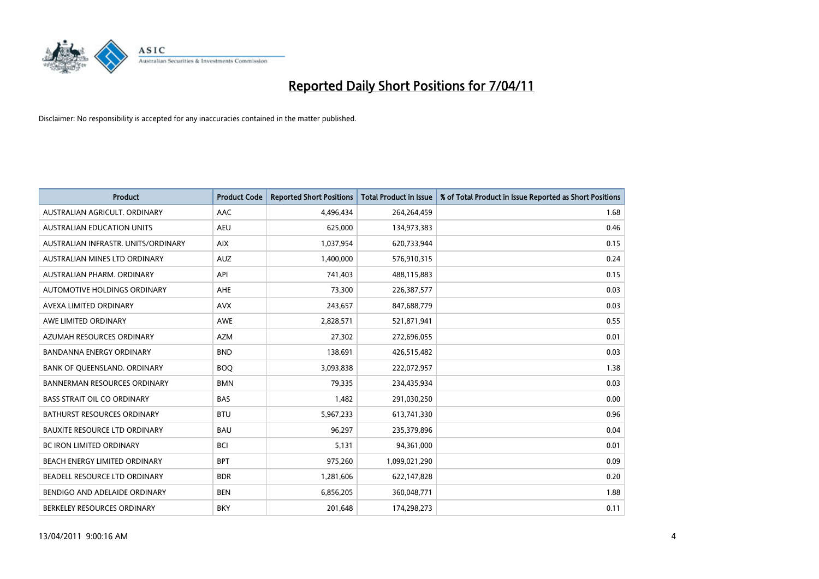

| <b>Product</b>                       | <b>Product Code</b> | <b>Reported Short Positions</b> | Total Product in Issue | % of Total Product in Issue Reported as Short Positions |
|--------------------------------------|---------------------|---------------------------------|------------------------|---------------------------------------------------------|
| AUSTRALIAN AGRICULT, ORDINARY        | <b>AAC</b>          | 4,496,434                       | 264,264,459            | 1.68                                                    |
| AUSTRALIAN EDUCATION UNITS           | <b>AEU</b>          | 625,000                         | 134,973,383            | 0.46                                                    |
| AUSTRALIAN INFRASTR, UNITS/ORDINARY  | <b>AIX</b>          | 1,037,954                       | 620,733,944            | 0.15                                                    |
| AUSTRALIAN MINES LTD ORDINARY        | <b>AUZ</b>          | 1,400,000                       | 576,910,315            | 0.24                                                    |
| AUSTRALIAN PHARM, ORDINARY           | API                 | 741,403                         | 488,115,883            | 0.15                                                    |
| <b>AUTOMOTIVE HOLDINGS ORDINARY</b>  | <b>AHE</b>          | 73,300                          | 226,387,577            | 0.03                                                    |
| AVEXA LIMITED ORDINARY               | <b>AVX</b>          | 243,657                         | 847,688,779            | 0.03                                                    |
| AWE LIMITED ORDINARY                 | <b>AWE</b>          | 2,828,571                       | 521,871,941            | 0.55                                                    |
| AZUMAH RESOURCES ORDINARY            | <b>AZM</b>          | 27,302                          | 272,696,055            | 0.01                                                    |
| <b>BANDANNA ENERGY ORDINARY</b>      | <b>BND</b>          | 138,691                         | 426,515,482            | 0.03                                                    |
| BANK OF QUEENSLAND. ORDINARY         | <b>BOO</b>          | 3,093,838                       | 222,072,957            | 1.38                                                    |
| <b>BANNERMAN RESOURCES ORDINARY</b>  | <b>BMN</b>          | 79,335                          | 234,435,934            | 0.03                                                    |
| <b>BASS STRAIT OIL CO ORDINARY</b>   | <b>BAS</b>          | 1,482                           | 291,030,250            | 0.00                                                    |
| <b>BATHURST RESOURCES ORDINARY</b>   | <b>BTU</b>          | 5,967,233                       | 613,741,330            | 0.96                                                    |
| <b>BAUXITE RESOURCE LTD ORDINARY</b> | <b>BAU</b>          | 96,297                          | 235,379,896            | 0.04                                                    |
| <b>BC IRON LIMITED ORDINARY</b>      | <b>BCI</b>          | 5.131                           | 94,361,000             | 0.01                                                    |
| BEACH ENERGY LIMITED ORDINARY        | <b>BPT</b>          | 975,260                         | 1,099,021,290          | 0.09                                                    |
| BEADELL RESOURCE LTD ORDINARY        | <b>BDR</b>          | 1,281,606                       | 622,147,828            | 0.20                                                    |
| BENDIGO AND ADELAIDE ORDINARY        | <b>BEN</b>          | 6,856,205                       | 360,048,771            | 1.88                                                    |
| BERKELEY RESOURCES ORDINARY          | <b>BKY</b>          | 201,648                         | 174,298,273            | 0.11                                                    |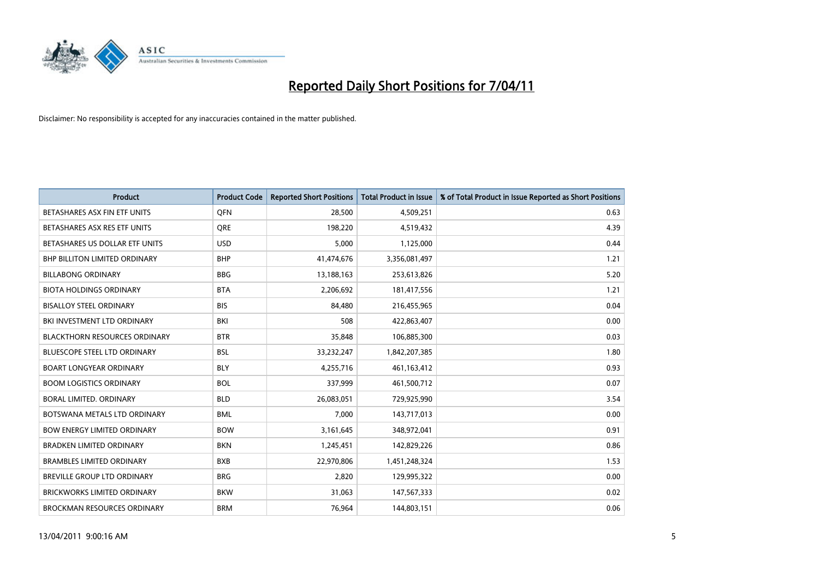

| <b>Product</b>                       | <b>Product Code</b> | <b>Reported Short Positions</b> | <b>Total Product in Issue</b> | % of Total Product in Issue Reported as Short Positions |
|--------------------------------------|---------------------|---------------------------------|-------------------------------|---------------------------------------------------------|
| BETASHARES ASX FIN ETF UNITS         | <b>OFN</b>          | 28,500                          | 4,509,251                     | 0.63                                                    |
| BETASHARES ASX RES ETF UNITS         | <b>ORE</b>          | 198,220                         | 4,519,432                     | 4.39                                                    |
| BETASHARES US DOLLAR ETF UNITS       | <b>USD</b>          | 5,000                           | 1,125,000                     | 0.44                                                    |
| BHP BILLITON LIMITED ORDINARY        | <b>BHP</b>          | 41,474,676                      | 3,356,081,497                 | 1.21                                                    |
| <b>BILLABONG ORDINARY</b>            | <b>BBG</b>          | 13,188,163                      | 253,613,826                   | 5.20                                                    |
| <b>BIOTA HOLDINGS ORDINARY</b>       | <b>BTA</b>          | 2,206,692                       | 181,417,556                   | 1.21                                                    |
| <b>BISALLOY STEEL ORDINARY</b>       | <b>BIS</b>          | 84.480                          | 216,455,965                   | 0.04                                                    |
| BKI INVESTMENT LTD ORDINARY          | <b>BKI</b>          | 508                             | 422,863,407                   | 0.00                                                    |
| <b>BLACKTHORN RESOURCES ORDINARY</b> | <b>BTR</b>          | 35,848                          | 106,885,300                   | 0.03                                                    |
| <b>BLUESCOPE STEEL LTD ORDINARY</b>  | <b>BSL</b>          | 33,232,247                      | 1,842,207,385                 | 1.80                                                    |
| <b>BOART LONGYEAR ORDINARY</b>       | <b>BLY</b>          | 4,255,716                       | 461,163,412                   | 0.93                                                    |
| <b>BOOM LOGISTICS ORDINARY</b>       | <b>BOL</b>          | 337,999                         | 461,500,712                   | 0.07                                                    |
| BORAL LIMITED. ORDINARY              | <b>BLD</b>          | 26,083,051                      | 729,925,990                   | 3.54                                                    |
| BOTSWANA METALS LTD ORDINARY         | <b>BML</b>          | 7,000                           | 143,717,013                   | 0.00                                                    |
| <b>BOW ENERGY LIMITED ORDINARY</b>   | <b>BOW</b>          | 3,161,645                       | 348,972,041                   | 0.91                                                    |
| <b>BRADKEN LIMITED ORDINARY</b>      | <b>BKN</b>          | 1,245,451                       | 142,829,226                   | 0.86                                                    |
| <b>BRAMBLES LIMITED ORDINARY</b>     | <b>BXB</b>          | 22,970,806                      | 1,451,248,324                 | 1.53                                                    |
| BREVILLE GROUP LTD ORDINARY          | <b>BRG</b>          | 2,820                           | 129,995,322                   | 0.00                                                    |
| <b>BRICKWORKS LIMITED ORDINARY</b>   | <b>BKW</b>          | 31,063                          | 147,567,333                   | 0.02                                                    |
| <b>BROCKMAN RESOURCES ORDINARY</b>   | <b>BRM</b>          | 76,964                          | 144,803,151                   | 0.06                                                    |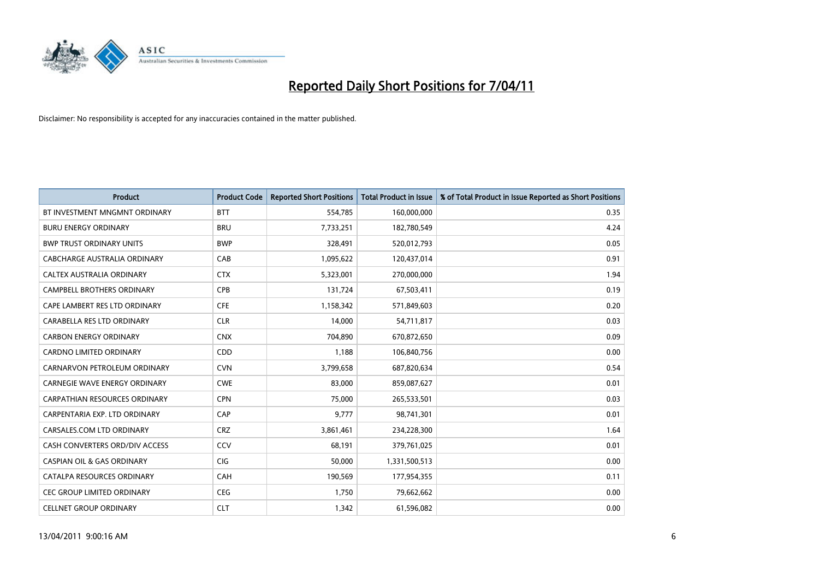

| <b>Product</b>                        | <b>Product Code</b> | <b>Reported Short Positions</b> | Total Product in Issue | % of Total Product in Issue Reported as Short Positions |
|---------------------------------------|---------------------|---------------------------------|------------------------|---------------------------------------------------------|
| BT INVESTMENT MNGMNT ORDINARY         | <b>BTT</b>          | 554,785                         | 160,000,000            | 0.35                                                    |
| <b>BURU ENERGY ORDINARY</b>           | <b>BRU</b>          | 7,733,251                       | 182,780,549            | 4.24                                                    |
| <b>BWP TRUST ORDINARY UNITS</b>       | <b>BWP</b>          | 328,491                         | 520,012,793            | 0.05                                                    |
| CABCHARGE AUSTRALIA ORDINARY          | CAB                 | 1,095,622                       | 120,437,014            | 0.91                                                    |
| CALTEX AUSTRALIA ORDINARY             | <b>CTX</b>          | 5,323,001                       | 270,000,000            | 1.94                                                    |
| <b>CAMPBELL BROTHERS ORDINARY</b>     | CPB                 | 131,724                         | 67,503,411             | 0.19                                                    |
| CAPE LAMBERT RES LTD ORDINARY         | <b>CFE</b>          | 1,158,342                       | 571,849,603            | 0.20                                                    |
| CARABELLA RES LTD ORDINARY            | <b>CLR</b>          | 14,000                          | 54,711,817             | 0.03                                                    |
| <b>CARBON ENERGY ORDINARY</b>         | <b>CNX</b>          | 704,890                         | 670,872,650            | 0.09                                                    |
| <b>CARDNO LIMITED ORDINARY</b>        | CDD                 | 1,188                           | 106,840,756            | 0.00                                                    |
| CARNARVON PETROLEUM ORDINARY          | <b>CVN</b>          | 3,799,658                       | 687,820,634            | 0.54                                                    |
| CARNEGIE WAVE ENERGY ORDINARY         | <b>CWE</b>          | 83,000                          | 859,087,627            | 0.01                                                    |
| <b>CARPATHIAN RESOURCES ORDINARY</b>  | <b>CPN</b>          | 75.000                          | 265,533,501            | 0.03                                                    |
| CARPENTARIA EXP. LTD ORDINARY         | CAP                 | 9,777                           | 98,741,301             | 0.01                                                    |
| CARSALES.COM LTD ORDINARY             | <b>CRZ</b>          | 3,861,461                       | 234,228,300            | 1.64                                                    |
| CASH CONVERTERS ORD/DIV ACCESS        | <b>CCV</b>          | 68,191                          | 379,761,025            | 0.01                                                    |
| <b>CASPIAN OIL &amp; GAS ORDINARY</b> | <b>CIG</b>          | 50,000                          | 1,331,500,513          | 0.00                                                    |
| CATALPA RESOURCES ORDINARY            | CAH                 | 190,569                         | 177,954,355            | 0.11                                                    |
| CEC GROUP LIMITED ORDINARY            | <b>CEG</b>          | 1,750                           | 79,662,662             | 0.00                                                    |
| <b>CELLNET GROUP ORDINARY</b>         | <b>CLT</b>          | 1,342                           | 61,596,082             | 0.00                                                    |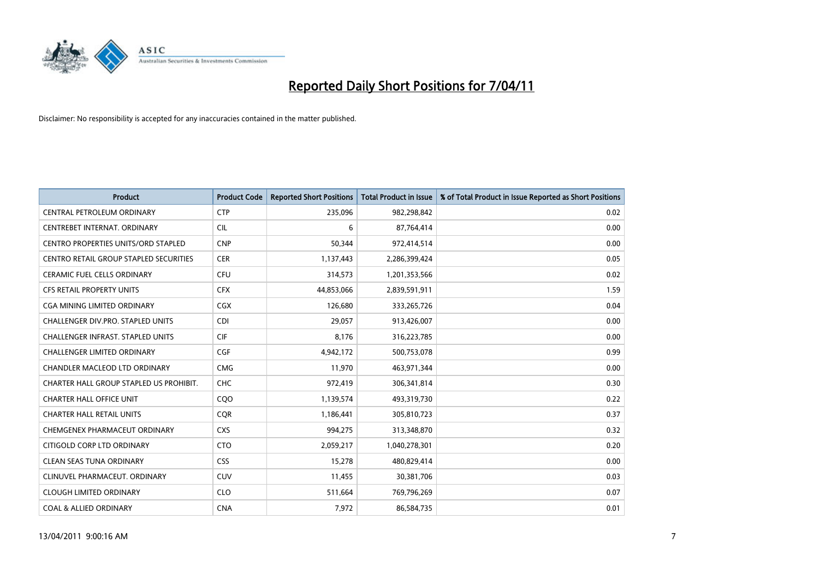

| <b>Product</b>                             | <b>Product Code</b> | <b>Reported Short Positions</b> | <b>Total Product in Issue</b> | % of Total Product in Issue Reported as Short Positions |
|--------------------------------------------|---------------------|---------------------------------|-------------------------------|---------------------------------------------------------|
| CENTRAL PETROLEUM ORDINARY                 | <b>CTP</b>          | 235,096                         | 982,298,842                   | 0.02                                                    |
| CENTREBET INTERNAT. ORDINARY               | <b>CIL</b>          | 6                               | 87,764,414                    | 0.00                                                    |
| <b>CENTRO PROPERTIES UNITS/ORD STAPLED</b> | <b>CNP</b>          | 50,344                          | 972,414,514                   | 0.00                                                    |
| CENTRO RETAIL GROUP STAPLED SECURITIES     | <b>CER</b>          | 1,137,443                       | 2,286,399,424                 | 0.05                                                    |
| <b>CERAMIC FUEL CELLS ORDINARY</b>         | <b>CFU</b>          | 314,573                         | 1,201,353,566                 | 0.02                                                    |
| <b>CFS RETAIL PROPERTY UNITS</b>           | <b>CFX</b>          | 44,853,066                      | 2,839,591,911                 | 1.59                                                    |
| CGA MINING LIMITED ORDINARY                | <b>CGX</b>          | 126.680                         | 333,265,726                   | 0.04                                                    |
| <b>CHALLENGER DIV.PRO. STAPLED UNITS</b>   | <b>CDI</b>          | 29,057                          | 913,426,007                   | 0.00                                                    |
| CHALLENGER INFRAST. STAPLED UNITS          | <b>CIF</b>          | 8,176                           | 316,223,785                   | 0.00                                                    |
| <b>CHALLENGER LIMITED ORDINARY</b>         | <b>CGF</b>          | 4,942,172                       | 500,753,078                   | 0.99                                                    |
| CHANDLER MACLEOD LTD ORDINARY              | <b>CMG</b>          | 11,970                          | 463,971,344                   | 0.00                                                    |
| CHARTER HALL GROUP STAPLED US PROHIBIT.    | <b>CHC</b>          | 972,419                         | 306,341,814                   | 0.30                                                    |
| <b>CHARTER HALL OFFICE UNIT</b>            | CQO                 | 1,139,574                       | 493,319,730                   | 0.22                                                    |
| <b>CHARTER HALL RETAIL UNITS</b>           | <b>COR</b>          | 1,186,441                       | 305,810,723                   | 0.37                                                    |
| CHEMGENEX PHARMACEUT ORDINARY              | <b>CXS</b>          | 994,275                         | 313,348,870                   | 0.32                                                    |
| CITIGOLD CORP LTD ORDINARY                 | <b>CTO</b>          | 2,059,217                       | 1,040,278,301                 | 0.20                                                    |
| <b>CLEAN SEAS TUNA ORDINARY</b>            | <b>CSS</b>          | 15,278                          | 480,829,414                   | 0.00                                                    |
| CLINUVEL PHARMACEUT. ORDINARY              | <b>CUV</b>          | 11,455                          | 30,381,706                    | 0.03                                                    |
| <b>CLOUGH LIMITED ORDINARY</b>             | <b>CLO</b>          | 511,664                         | 769,796,269                   | 0.07                                                    |
| <b>COAL &amp; ALLIED ORDINARY</b>          | <b>CNA</b>          | 7,972                           | 86,584,735                    | 0.01                                                    |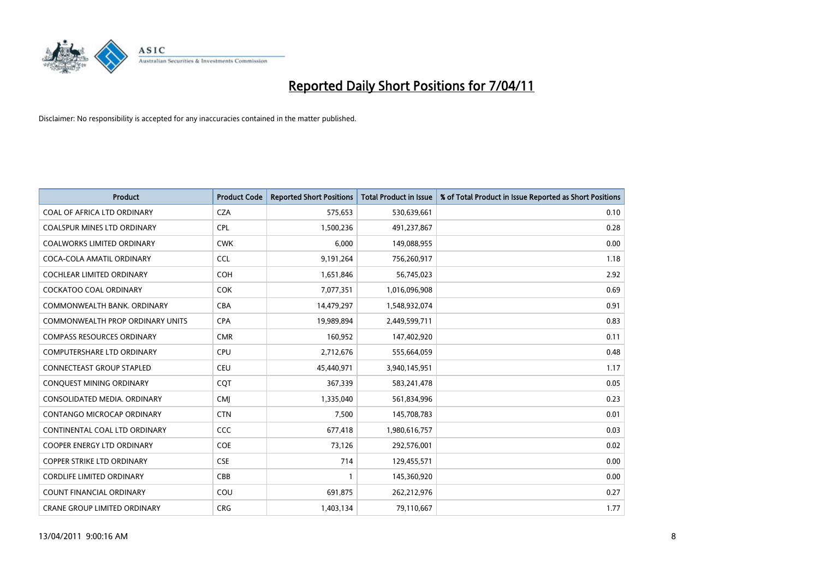

| <b>Product</b>                    | <b>Product Code</b> | <b>Reported Short Positions</b> | Total Product in Issue | % of Total Product in Issue Reported as Short Positions |
|-----------------------------------|---------------------|---------------------------------|------------------------|---------------------------------------------------------|
| COAL OF AFRICA LTD ORDINARY       | <b>CZA</b>          | 575,653                         | 530,639,661            | 0.10                                                    |
| COALSPUR MINES LTD ORDINARY       | <b>CPL</b>          | 1,500,236                       | 491,237,867            | 0.28                                                    |
| <b>COALWORKS LIMITED ORDINARY</b> | <b>CWK</b>          | 6.000                           | 149,088,955            | 0.00                                                    |
| COCA-COLA AMATIL ORDINARY         | <b>CCL</b>          | 9,191,264                       | 756,260,917            | 1.18                                                    |
| <b>COCHLEAR LIMITED ORDINARY</b>  | <b>COH</b>          | 1,651,846                       | 56,745,023             | 2.92                                                    |
| <b>COCKATOO COAL ORDINARY</b>     | COK                 | 7,077,351                       | 1,016,096,908          | 0.69                                                    |
| COMMONWEALTH BANK, ORDINARY       | <b>CBA</b>          | 14,479,297                      | 1,548,932,074          | 0.91                                                    |
| COMMONWEALTH PROP ORDINARY UNITS  | <b>CPA</b>          | 19,989,894                      | 2,449,599,711          | 0.83                                                    |
| <b>COMPASS RESOURCES ORDINARY</b> | <b>CMR</b>          | 160,952                         | 147,402,920            | 0.11                                                    |
| <b>COMPUTERSHARE LTD ORDINARY</b> | <b>CPU</b>          | 2,712,676                       | 555,664,059            | 0.48                                                    |
| <b>CONNECTEAST GROUP STAPLED</b>  | <b>CEU</b>          | 45,440,971                      | 3,940,145,951          | 1.17                                                    |
| CONQUEST MINING ORDINARY          | <b>COT</b>          | 367,339                         | 583,241,478            | 0.05                                                    |
| CONSOLIDATED MEDIA, ORDINARY      | <b>CMI</b>          | 1,335,040                       | 561,834,996            | 0.23                                                    |
| CONTANGO MICROCAP ORDINARY        | <b>CTN</b>          | 7,500                           | 145,708,783            | 0.01                                                    |
| CONTINENTAL COAL LTD ORDINARY     | <b>CCC</b>          | 677,418                         | 1,980,616,757          | 0.03                                                    |
| <b>COOPER ENERGY LTD ORDINARY</b> | <b>COE</b>          | 73,126                          | 292,576,001            | 0.02                                                    |
| <b>COPPER STRIKE LTD ORDINARY</b> | <b>CSE</b>          | 714                             | 129,455,571            | 0.00                                                    |
| <b>CORDLIFE LIMITED ORDINARY</b>  | CBB                 |                                 | 145,360,920            | 0.00                                                    |
| <b>COUNT FINANCIAL ORDINARY</b>   | COU                 | 691,875                         | 262,212,976            | 0.27                                                    |
| CRANE GROUP LIMITED ORDINARY      | <b>CRG</b>          | 1,403,134                       | 79,110,667             | 1.77                                                    |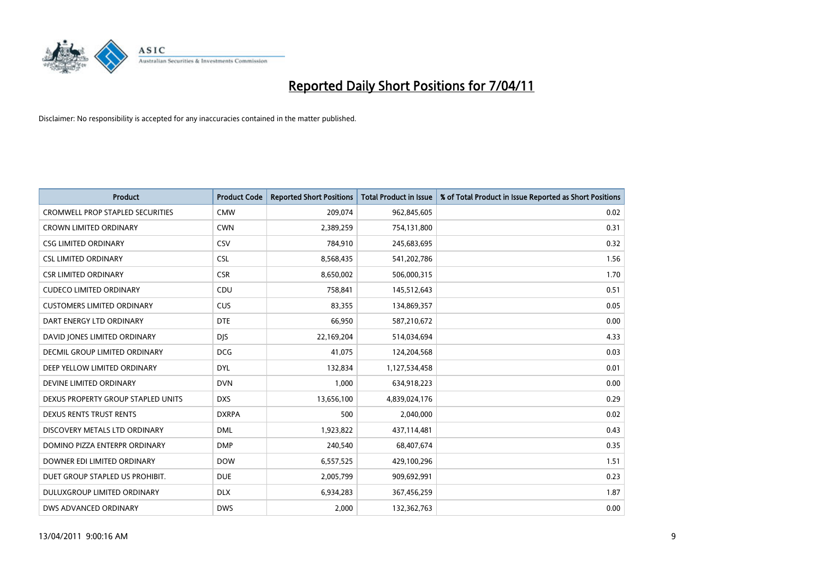

| <b>Product</b>                          | <b>Product Code</b> | <b>Reported Short Positions</b> | Total Product in Issue | % of Total Product in Issue Reported as Short Positions |
|-----------------------------------------|---------------------|---------------------------------|------------------------|---------------------------------------------------------|
| <b>CROMWELL PROP STAPLED SECURITIES</b> | <b>CMW</b>          | 209,074                         | 962,845,605            | 0.02                                                    |
| <b>CROWN LIMITED ORDINARY</b>           | <b>CWN</b>          | 2,389,259                       | 754,131,800            | 0.31                                                    |
| <b>CSG LIMITED ORDINARY</b>             | CSV                 | 784,910                         | 245,683,695            | 0.32                                                    |
| <b>CSL LIMITED ORDINARY</b>             | <b>CSL</b>          | 8,568,435                       | 541,202,786            | 1.56                                                    |
| <b>CSR LIMITED ORDINARY</b>             | <b>CSR</b>          | 8,650,002                       | 506,000,315            | 1.70                                                    |
| <b>CUDECO LIMITED ORDINARY</b>          | CDU                 | 758,841                         | 145,512,643            | 0.51                                                    |
| <b>CUSTOMERS LIMITED ORDINARY</b>       | <b>CUS</b>          | 83.355                          | 134,869,357            | 0.05                                                    |
| DART ENERGY LTD ORDINARY                | <b>DTE</b>          | 66,950                          | 587,210,672            | 0.00                                                    |
| DAVID JONES LIMITED ORDINARY            | <b>DJS</b>          | 22,169,204                      | 514,034,694            | 4.33                                                    |
| DECMIL GROUP LIMITED ORDINARY           | <b>DCG</b>          | 41,075                          | 124,204,568            | 0.03                                                    |
| DEEP YELLOW LIMITED ORDINARY            | <b>DYL</b>          | 132,834                         | 1,127,534,458          | 0.01                                                    |
| DEVINE LIMITED ORDINARY                 | <b>DVN</b>          | 1,000                           | 634,918,223            | 0.00                                                    |
| DEXUS PROPERTY GROUP STAPLED UNITS      | <b>DXS</b>          | 13,656,100                      | 4,839,024,176          | 0.29                                                    |
| DEXUS RENTS TRUST RENTS                 | <b>DXRPA</b>        | 500                             | 2,040,000              | 0.02                                                    |
| DISCOVERY METALS LTD ORDINARY           | <b>DML</b>          | 1,923,822                       | 437,114,481            | 0.43                                                    |
| DOMINO PIZZA ENTERPR ORDINARY           | <b>DMP</b>          | 240,540                         | 68,407,674             | 0.35                                                    |
| DOWNER EDI LIMITED ORDINARY             | <b>DOW</b>          | 6,557,525                       | 429,100,296            | 1.51                                                    |
| DUET GROUP STAPLED US PROHIBIT.         | <b>DUE</b>          | 2,005,799                       | 909,692,991            | 0.23                                                    |
| DULUXGROUP LIMITED ORDINARY             | <b>DLX</b>          | 6,934,283                       | 367,456,259            | 1.87                                                    |
| DWS ADVANCED ORDINARY                   | <b>DWS</b>          | 2,000                           | 132,362,763            | 0.00                                                    |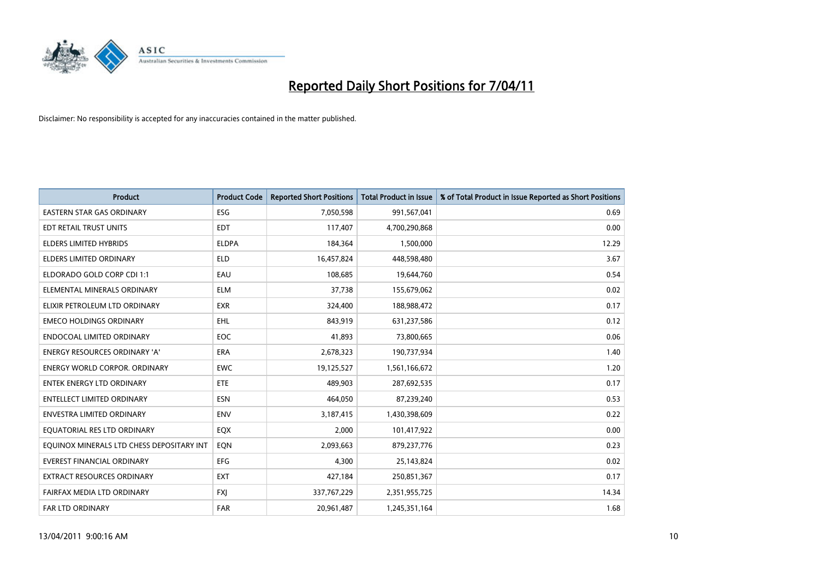

| <b>Product</b>                            | <b>Product Code</b> | <b>Reported Short Positions</b> | Total Product in Issue | % of Total Product in Issue Reported as Short Positions |
|-------------------------------------------|---------------------|---------------------------------|------------------------|---------------------------------------------------------|
| <b>EASTERN STAR GAS ORDINARY</b>          | <b>ESG</b>          | 7,050,598                       | 991,567,041            | 0.69                                                    |
| EDT RETAIL TRUST UNITS                    | <b>EDT</b>          | 117,407                         | 4,700,290,868          | 0.00                                                    |
| <b>ELDERS LIMITED HYBRIDS</b>             | <b>ELDPA</b>        | 184,364                         | 1,500,000              | 12.29                                                   |
| <b>ELDERS LIMITED ORDINARY</b>            | <b>ELD</b>          | 16,457,824                      | 448,598,480            | 3.67                                                    |
| ELDORADO GOLD CORP CDI 1:1                | EAU                 | 108,685                         | 19,644,760             | 0.54                                                    |
| ELEMENTAL MINERALS ORDINARY               | <b>ELM</b>          | 37,738                          | 155,679,062            | 0.02                                                    |
| ELIXIR PETROLEUM LTD ORDINARY             | <b>EXR</b>          | 324,400                         | 188,988,472            | 0.17                                                    |
| <b>EMECO HOLDINGS ORDINARY</b>            | <b>EHL</b>          | 843,919                         | 631,237,586            | 0.12                                                    |
| ENDOCOAL LIMITED ORDINARY                 | EOC                 | 41,893                          | 73,800,665             | 0.06                                                    |
| <b>ENERGY RESOURCES ORDINARY 'A'</b>      | <b>ERA</b>          | 2,678,323                       | 190,737,934            | 1.40                                                    |
| <b>ENERGY WORLD CORPOR, ORDINARY</b>      | <b>EWC</b>          | 19,125,527                      | 1,561,166,672          | 1.20                                                    |
| <b>ENTEK ENERGY LTD ORDINARY</b>          | ETE                 | 489,903                         | 287,692,535            | 0.17                                                    |
| <b>ENTELLECT LIMITED ORDINARY</b>         | <b>ESN</b>          | 464.050                         | 87,239,240             | 0.53                                                    |
| <b>ENVESTRA LIMITED ORDINARY</b>          | <b>ENV</b>          | 3,187,415                       | 1,430,398,609          | 0.22                                                    |
| EQUATORIAL RES LTD ORDINARY               | EQX                 | 2,000                           | 101,417,922            | 0.00                                                    |
| EQUINOX MINERALS LTD CHESS DEPOSITARY INT | EON                 | 2,093,663                       | 879,237,776            | 0.23                                                    |
| <b>EVEREST FINANCIAL ORDINARY</b>         | EFG                 | 4,300                           | 25,143,824             | 0.02                                                    |
| EXTRACT RESOURCES ORDINARY                | <b>EXT</b>          | 427,184                         | 250,851,367            | 0.17                                                    |
| FAIRFAX MEDIA LTD ORDINARY                | <b>FXI</b>          | 337,767,229                     | 2,351,955,725          | 14.34                                                   |
| <b>FAR LTD ORDINARY</b>                   | <b>FAR</b>          | 20,961,487                      | 1,245,351,164          | 1.68                                                    |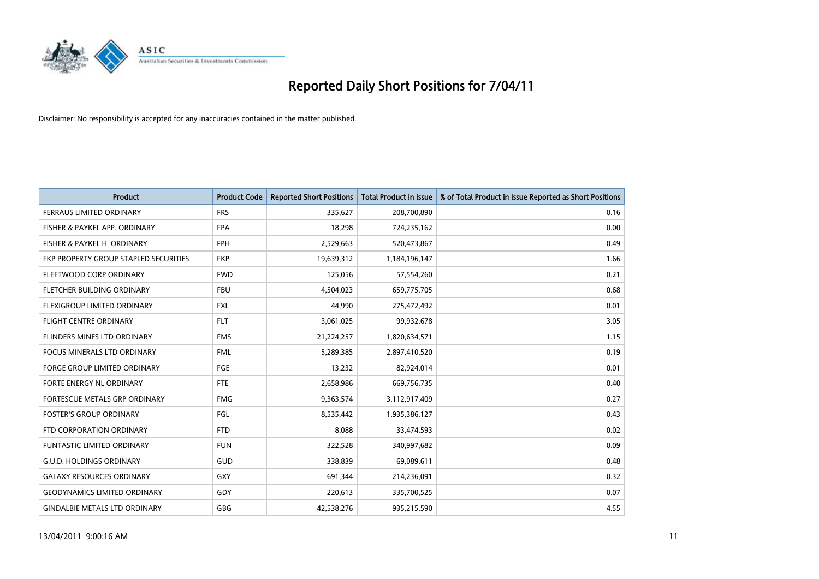

| Product                               | <b>Product Code</b> | <b>Reported Short Positions</b> | <b>Total Product in Issue</b> | % of Total Product in Issue Reported as Short Positions |
|---------------------------------------|---------------------|---------------------------------|-------------------------------|---------------------------------------------------------|
| <b>FERRAUS LIMITED ORDINARY</b>       | <b>FRS</b>          | 335,627                         | 208,700,890                   | 0.16                                                    |
| FISHER & PAYKEL APP. ORDINARY         | <b>FPA</b>          | 18,298                          | 724,235,162                   | 0.00                                                    |
| FISHER & PAYKEL H. ORDINARY           | <b>FPH</b>          | 2,529,663                       | 520,473,867                   | 0.49                                                    |
| FKP PROPERTY GROUP STAPLED SECURITIES | <b>FKP</b>          | 19,639,312                      | 1,184,196,147                 | 1.66                                                    |
| FLEETWOOD CORP ORDINARY               | <b>FWD</b>          | 125,056                         | 57,554,260                    | 0.21                                                    |
| FLETCHER BUILDING ORDINARY            | <b>FBU</b>          | 4,504,023                       | 659,775,705                   | 0.68                                                    |
| FLEXIGROUP LIMITED ORDINARY           | <b>FXL</b>          | 44.990                          | 275,472,492                   | 0.01                                                    |
| <b>FLIGHT CENTRE ORDINARY</b>         | <b>FLT</b>          | 3,061,025                       | 99,932,678                    | 3.05                                                    |
| FLINDERS MINES LTD ORDINARY           | <b>FMS</b>          | 21,224,257                      | 1,820,634,571                 | 1.15                                                    |
| <b>FOCUS MINERALS LTD ORDINARY</b>    | <b>FML</b>          | 5,289,385                       | 2,897,410,520                 | 0.19                                                    |
| FORGE GROUP LIMITED ORDINARY          | FGE                 | 13,232                          | 82,924,014                    | 0.01                                                    |
| FORTE ENERGY NL ORDINARY              | <b>FTE</b>          | 2,658,986                       | 669,756,735                   | 0.40                                                    |
| FORTESCUE METALS GRP ORDINARY         | <b>FMG</b>          | 9,363,574                       | 3,112,917,409                 | 0.27                                                    |
| <b>FOSTER'S GROUP ORDINARY</b>        | FGL                 | 8,535,442                       | 1,935,386,127                 | 0.43                                                    |
| FTD CORPORATION ORDINARY              | <b>FTD</b>          | 8,088                           | 33,474,593                    | 0.02                                                    |
| <b>FUNTASTIC LIMITED ORDINARY</b>     | <b>FUN</b>          | 322,528                         | 340,997,682                   | 0.09                                                    |
| <b>G.U.D. HOLDINGS ORDINARY</b>       | GUD                 | 338,839                         | 69,089,611                    | 0.48                                                    |
| <b>GALAXY RESOURCES ORDINARY</b>      | GXY                 | 691,344                         | 214,236,091                   | 0.32                                                    |
| <b>GEODYNAMICS LIMITED ORDINARY</b>   | GDY                 | 220,613                         | 335,700,525                   | 0.07                                                    |
| <b>GINDALBIE METALS LTD ORDINARY</b>  | <b>GBG</b>          | 42,538,276                      | 935,215,590                   | 4.55                                                    |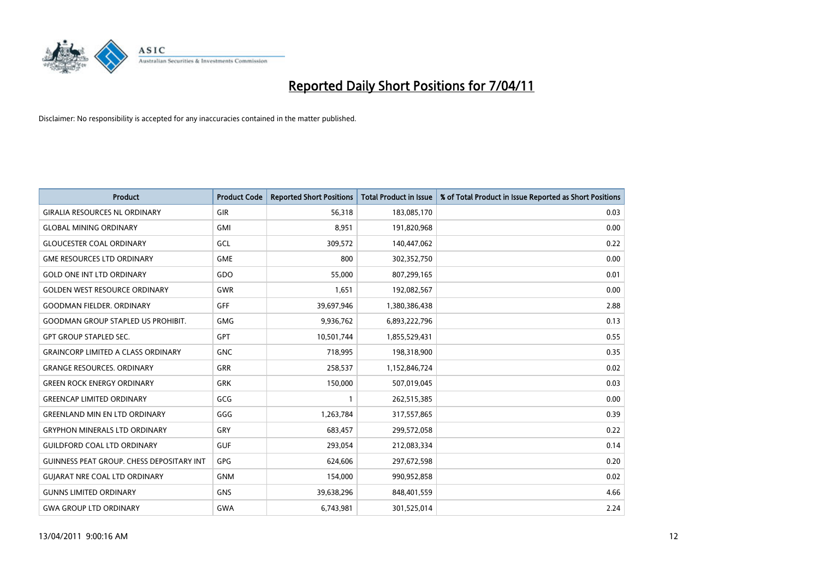

| <b>Product</b>                            | <b>Product Code</b> | <b>Reported Short Positions</b> | Total Product in Issue | % of Total Product in Issue Reported as Short Positions |
|-------------------------------------------|---------------------|---------------------------------|------------------------|---------------------------------------------------------|
| <b>GIRALIA RESOURCES NL ORDINARY</b>      | GIR                 | 56,318                          | 183,085,170            | 0.03                                                    |
| <b>GLOBAL MINING ORDINARY</b>             | <b>GMI</b>          | 8,951                           | 191,820,968            | 0.00                                                    |
| <b>GLOUCESTER COAL ORDINARY</b>           | GCL                 | 309,572                         | 140,447,062            | 0.22                                                    |
| <b>GME RESOURCES LTD ORDINARY</b>         | <b>GME</b>          | 800                             | 302,352,750            | 0.00                                                    |
| <b>GOLD ONE INT LTD ORDINARY</b>          | GDO                 | 55,000                          | 807,299,165            | 0.01                                                    |
| <b>GOLDEN WEST RESOURCE ORDINARY</b>      | <b>GWR</b>          | 1.651                           | 192,082,567            | 0.00                                                    |
| <b>GOODMAN FIELDER, ORDINARY</b>          | GFF                 | 39,697,946                      | 1,380,386,438          | 2.88                                                    |
| <b>GOODMAN GROUP STAPLED US PROHIBIT.</b> | <b>GMG</b>          | 9,936,762                       | 6,893,222,796          | 0.13                                                    |
| <b>GPT GROUP STAPLED SEC.</b>             | GPT                 | 10,501,744                      | 1,855,529,431          | 0.55                                                    |
| <b>GRAINCORP LIMITED A CLASS ORDINARY</b> | <b>GNC</b>          | 718,995                         | 198,318,900            | 0.35                                                    |
| <b>GRANGE RESOURCES. ORDINARY</b>         | <b>GRR</b>          | 258,537                         | 1,152,846,724          | 0.02                                                    |
| <b>GREEN ROCK ENERGY ORDINARY</b>         | <b>GRK</b>          | 150,000                         | 507,019,045            | 0.03                                                    |
| <b>GREENCAP LIMITED ORDINARY</b>          | GCG                 |                                 | 262,515,385            | 0.00                                                    |
| <b>GREENLAND MIN EN LTD ORDINARY</b>      | GGG                 | 1,263,784                       | 317,557,865            | 0.39                                                    |
| <b>GRYPHON MINERALS LTD ORDINARY</b>      | GRY                 | 683,457                         | 299,572,058            | 0.22                                                    |
| <b>GUILDFORD COAL LTD ORDINARY</b>        | <b>GUF</b>          | 293,054                         | 212,083,334            | 0.14                                                    |
| GUINNESS PEAT GROUP. CHESS DEPOSITARY INT | <b>GPG</b>          | 624,606                         | 297,672,598            | 0.20                                                    |
| <b>GUIARAT NRE COAL LTD ORDINARY</b>      | <b>GNM</b>          | 154,000                         | 990,952,858            | 0.02                                                    |
| <b>GUNNS LIMITED ORDINARY</b>             | <b>GNS</b>          | 39,638,296                      | 848,401,559            | 4.66                                                    |
| <b>GWA GROUP LTD ORDINARY</b>             | <b>GWA</b>          | 6,743,981                       | 301,525,014            | 2.24                                                    |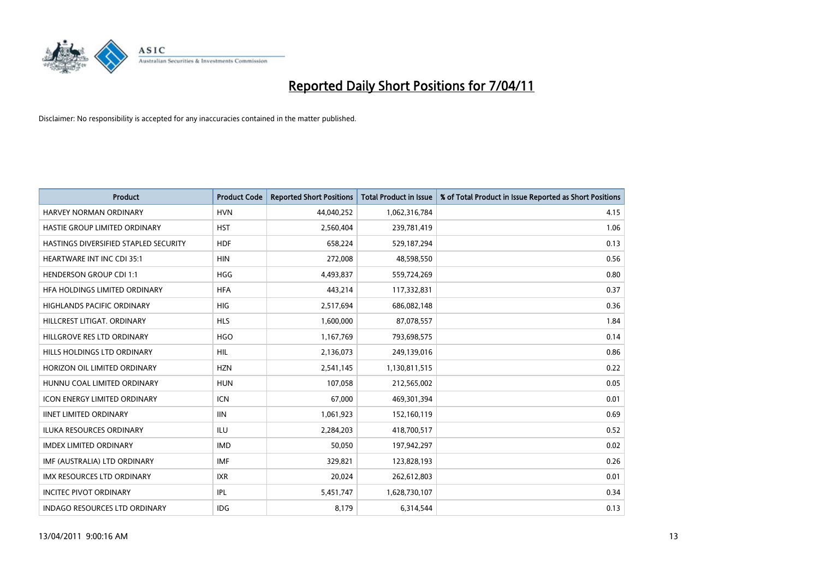

| <b>Product</b>                               | <b>Product Code</b> | <b>Reported Short Positions</b> | Total Product in Issue | % of Total Product in Issue Reported as Short Positions |
|----------------------------------------------|---------------------|---------------------------------|------------------------|---------------------------------------------------------|
| <b>HARVEY NORMAN ORDINARY</b>                | <b>HVN</b>          | 44,040,252                      | 1,062,316,784          | 4.15                                                    |
| HASTIE GROUP LIMITED ORDINARY                | <b>HST</b>          | 2,560,404                       | 239,781,419            | 1.06                                                    |
| <b>HASTINGS DIVERSIFIED STAPLED SECURITY</b> | <b>HDF</b>          | 658,224                         | 529,187,294            | 0.13                                                    |
| HEARTWARE INT INC CDI 35:1                   | <b>HIN</b>          | 272,008                         | 48,598,550             | 0.56                                                    |
| <b>HENDERSON GROUP CDI 1:1</b>               | <b>HGG</b>          | 4,493,837                       | 559,724,269            | 0.80                                                    |
| HFA HOLDINGS LIMITED ORDINARY                | <b>HFA</b>          | 443,214                         | 117,332,831            | 0.37                                                    |
| HIGHLANDS PACIFIC ORDINARY                   | <b>HIG</b>          | 2,517,694                       | 686,082,148            | 0.36                                                    |
| HILLCREST LITIGAT. ORDINARY                  | <b>HLS</b>          | 1,600,000                       | 87,078,557             | 1.84                                                    |
| HILLGROVE RES LTD ORDINARY                   | <b>HGO</b>          | 1,167,769                       | 793,698,575            | 0.14                                                    |
| HILLS HOLDINGS LTD ORDINARY                  | <b>HIL</b>          | 2,136,073                       | 249,139,016            | 0.86                                                    |
| HORIZON OIL LIMITED ORDINARY                 | <b>HZN</b>          | 2,541,145                       | 1,130,811,515          | 0.22                                                    |
| HUNNU COAL LIMITED ORDINARY                  | <b>HUN</b>          | 107,058                         | 212,565,002            | 0.05                                                    |
| <b>ICON ENERGY LIMITED ORDINARY</b>          | <b>ICN</b>          | 67,000                          | 469,301,394            | 0.01                                                    |
| <b>IINET LIMITED ORDINARY</b>                | <b>IIN</b>          | 1,061,923                       | 152,160,119            | 0.69                                                    |
| <b>ILUKA RESOURCES ORDINARY</b>              | ILU                 | 2,284,203                       | 418,700,517            | 0.52                                                    |
| <b>IMDEX LIMITED ORDINARY</b>                | <b>IMD</b>          | 50,050                          | 197,942,297            | 0.02                                                    |
| IMF (AUSTRALIA) LTD ORDINARY                 | <b>IMF</b>          | 329,821                         | 123,828,193            | 0.26                                                    |
| IMX RESOURCES LTD ORDINARY                   | <b>IXR</b>          | 20,024                          | 262,612,803            | 0.01                                                    |
| <b>INCITEC PIVOT ORDINARY</b>                | IPL                 | 5,451,747                       | 1,628,730,107          | 0.34                                                    |
| <b>INDAGO RESOURCES LTD ORDINARY</b>         | <b>IDG</b>          | 8,179                           | 6,314,544              | 0.13                                                    |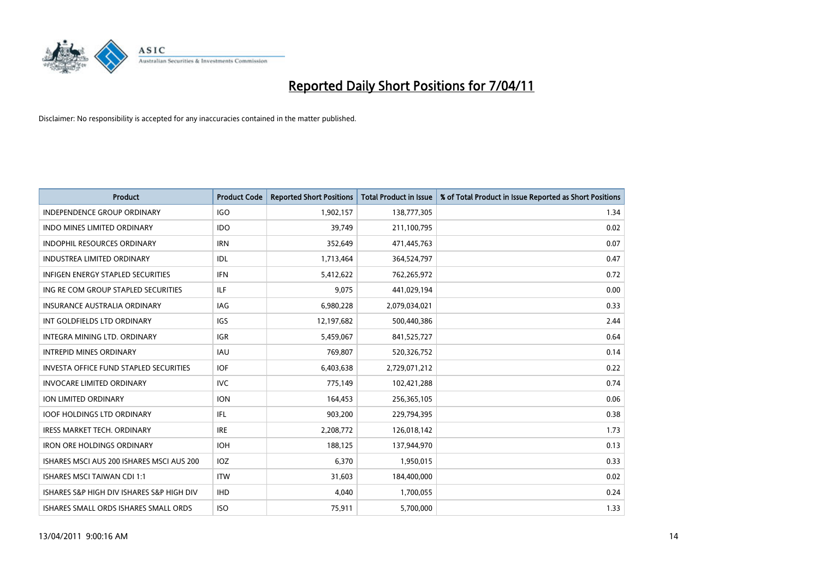

| <b>Product</b>                                | <b>Product Code</b> | <b>Reported Short Positions</b> | Total Product in Issue | % of Total Product in Issue Reported as Short Positions |
|-----------------------------------------------|---------------------|---------------------------------|------------------------|---------------------------------------------------------|
| <b>INDEPENDENCE GROUP ORDINARY</b>            | <b>IGO</b>          | 1,902,157                       | 138,777,305            | 1.34                                                    |
| <b>INDO MINES LIMITED ORDINARY</b>            | <b>IDO</b>          | 39.749                          | 211,100,795            | 0.02                                                    |
| <b>INDOPHIL RESOURCES ORDINARY</b>            | <b>IRN</b>          | 352,649                         | 471,445,763            | 0.07                                                    |
| INDUSTREA LIMITED ORDINARY                    | IDL                 | 1,713,464                       | 364,524,797            | 0.47                                                    |
| <b>INFIGEN ENERGY STAPLED SECURITIES</b>      | <b>IFN</b>          | 5,412,622                       | 762,265,972            | 0.72                                                    |
| ING RE COM GROUP STAPLED SECURITIES           | ILF.                | 9,075                           | 441,029,194            | 0.00                                                    |
| <b>INSURANCE AUSTRALIA ORDINARY</b>           | <b>IAG</b>          | 6,980,228                       | 2,079,034,021          | 0.33                                                    |
| INT GOLDFIELDS LTD ORDINARY                   | IGS                 | 12,197,682                      | 500,440,386            | 2.44                                                    |
| INTEGRA MINING LTD, ORDINARY                  | <b>IGR</b>          | 5,459,067                       | 841,525,727            | 0.64                                                    |
| <b>INTREPID MINES ORDINARY</b>                | <b>IAU</b>          | 769,807                         | 520,326,752            | 0.14                                                    |
| <b>INVESTA OFFICE FUND STAPLED SECURITIES</b> | <b>IOF</b>          | 6,403,638                       | 2,729,071,212          | 0.22                                                    |
| <b>INVOCARE LIMITED ORDINARY</b>              | <b>IVC</b>          | 775,149                         | 102,421,288            | 0.74                                                    |
| <b>ION LIMITED ORDINARY</b>                   | <b>ION</b>          | 164,453                         | 256,365,105            | 0.06                                                    |
| <b>IOOF HOLDINGS LTD ORDINARY</b>             | IFL.                | 903.200                         | 229,794,395            | 0.38                                                    |
| <b>IRESS MARKET TECH. ORDINARY</b>            | <b>IRE</b>          | 2,208,772                       | 126,018,142            | 1.73                                                    |
| <b>IRON ORE HOLDINGS ORDINARY</b>             | <b>IOH</b>          | 188,125                         | 137,944,970            | 0.13                                                    |
| ISHARES MSCI AUS 200 ISHARES MSCI AUS 200     | IOZ                 | 6,370                           | 1,950,015              | 0.33                                                    |
| <b>ISHARES MSCI TAIWAN CDI 1:1</b>            | <b>ITW</b>          | 31,603                          | 184,400,000            | 0.02                                                    |
| ISHARES S&P HIGH DIV ISHARES S&P HIGH DIV     | <b>IHD</b>          | 4,040                           | 1,700,055              | 0.24                                                    |
| ISHARES SMALL ORDS ISHARES SMALL ORDS         | <b>ISO</b>          | 75,911                          | 5,700,000              | 1.33                                                    |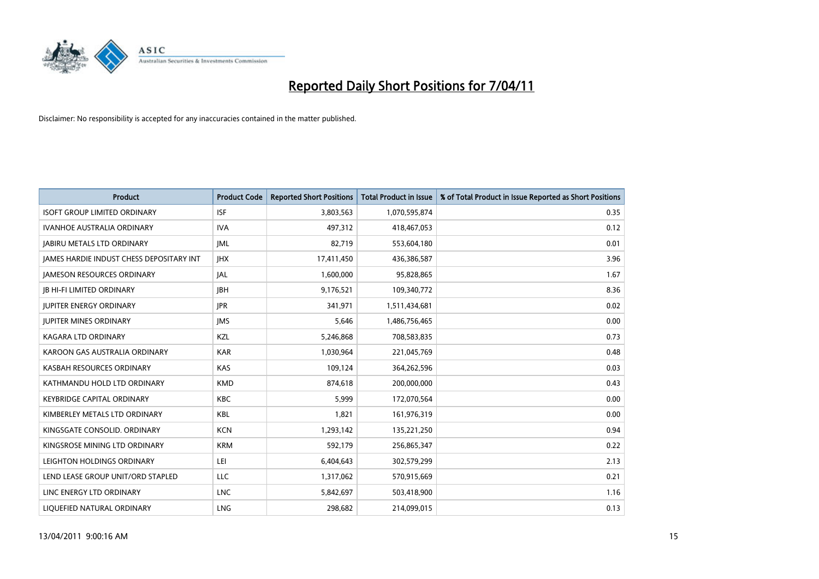

| Product                                  | <b>Product Code</b> | <b>Reported Short Positions</b> | <b>Total Product in Issue</b> | % of Total Product in Issue Reported as Short Positions |
|------------------------------------------|---------------------|---------------------------------|-------------------------------|---------------------------------------------------------|
| <b>ISOFT GROUP LIMITED ORDINARY</b>      | <b>ISF</b>          | 3,803,563                       | 1,070,595,874                 | 0.35                                                    |
| IVANHOE AUSTRALIA ORDINARY               | <b>IVA</b>          | 497,312                         | 418,467,053                   | 0.12                                                    |
| <b>JABIRU METALS LTD ORDINARY</b>        | IML                 | 82,719                          | 553,604,180                   | 0.01                                                    |
| JAMES HARDIE INDUST CHESS DEPOSITARY INT | <b>IHX</b>          | 17,411,450                      | 436,386,587                   | 3.96                                                    |
| <b>JAMESON RESOURCES ORDINARY</b>        | <b>JAL</b>          | 1,600,000                       | 95,828,865                    | 1.67                                                    |
| <b>JB HI-FI LIMITED ORDINARY</b>         | <b>IBH</b>          | 9,176,521                       | 109,340,772                   | 8.36                                                    |
| <b>JUPITER ENERGY ORDINARY</b>           | <b>JPR</b>          | 341,971                         | 1,511,434,681                 | 0.02                                                    |
| <b>JUPITER MINES ORDINARY</b>            | <b>IMS</b>          | 5,646                           | 1,486,756,465                 | 0.00                                                    |
| KAGARA LTD ORDINARY                      | KZL                 | 5,246,868                       | 708,583,835                   | 0.73                                                    |
| KAROON GAS AUSTRALIA ORDINARY            | <b>KAR</b>          | 1,030,964                       | 221,045,769                   | 0.48                                                    |
| KASBAH RESOURCES ORDINARY                | <b>KAS</b>          | 109,124                         | 364,262,596                   | 0.03                                                    |
| KATHMANDU HOLD LTD ORDINARY              | <b>KMD</b>          | 874,618                         | 200,000,000                   | 0.43                                                    |
| <b>KEYBRIDGE CAPITAL ORDINARY</b>        | <b>KBC</b>          | 5,999                           | 172,070,564                   | 0.00                                                    |
| KIMBERLEY METALS LTD ORDINARY            | KBL                 | 1,821                           | 161,976,319                   | 0.00                                                    |
| KINGSGATE CONSOLID. ORDINARY             | <b>KCN</b>          | 1,293,142                       | 135,221,250                   | 0.94                                                    |
| KINGSROSE MINING LTD ORDINARY            | <b>KRM</b>          | 592,179                         | 256,865,347                   | 0.22                                                    |
| LEIGHTON HOLDINGS ORDINARY               | LEI                 | 6,404,643                       | 302,579,299                   | 2.13                                                    |
| LEND LEASE GROUP UNIT/ORD STAPLED        | LLC                 | 1,317,062                       | 570,915,669                   | 0.21                                                    |
| LINC ENERGY LTD ORDINARY                 | <b>LNC</b>          | 5,842,697                       | 503,418,900                   | 1.16                                                    |
| LIQUEFIED NATURAL ORDINARY               | <b>LNG</b>          | 298,682                         | 214,099,015                   | 0.13                                                    |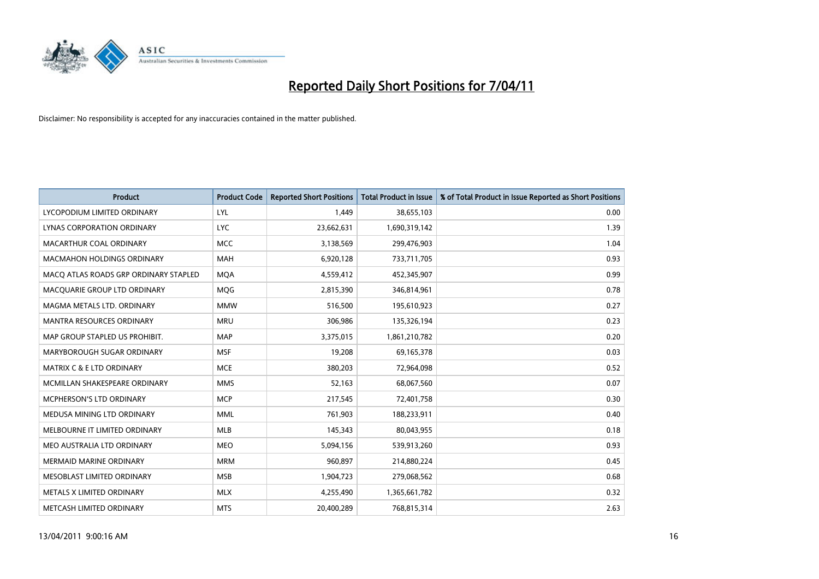

| <b>Product</b>                        | <b>Product Code</b> | <b>Reported Short Positions</b> | Total Product in Issue | % of Total Product in Issue Reported as Short Positions |
|---------------------------------------|---------------------|---------------------------------|------------------------|---------------------------------------------------------|
| LYCOPODIUM LIMITED ORDINARY           | LYL                 | 1,449                           | 38,655,103             | 0.00                                                    |
| LYNAS CORPORATION ORDINARY            | <b>LYC</b>          | 23,662,631                      | 1,690,319,142          | 1.39                                                    |
| MACARTHUR COAL ORDINARY               | <b>MCC</b>          | 3,138,569                       | 299,476,903            | 1.04                                                    |
| MACMAHON HOLDINGS ORDINARY            | <b>MAH</b>          | 6,920,128                       | 733,711,705            | 0.93                                                    |
| MACO ATLAS ROADS GRP ORDINARY STAPLED | <b>MQA</b>          | 4,559,412                       | 452,345,907            | 0.99                                                    |
| MACQUARIE GROUP LTD ORDINARY          | MQG                 | 2,815,390                       | 346,814,961            | 0.78                                                    |
| MAGMA METALS LTD. ORDINARY            | <b>MMW</b>          | 516,500                         | 195,610,923            | 0.27                                                    |
| <b>MANTRA RESOURCES ORDINARY</b>      | <b>MRU</b>          | 306,986                         | 135,326,194            | 0.23                                                    |
| MAP GROUP STAPLED US PROHIBIT.        | <b>MAP</b>          | 3,375,015                       | 1,861,210,782          | 0.20                                                    |
| MARYBOROUGH SUGAR ORDINARY            | <b>MSF</b>          | 19,208                          | 69,165,378             | 0.03                                                    |
| <b>MATRIX C &amp; E LTD ORDINARY</b>  | <b>MCE</b>          | 380,203                         | 72,964,098             | 0.52                                                    |
| MCMILLAN SHAKESPEARE ORDINARY         | <b>MMS</b>          | 52,163                          | 68,067,560             | 0.07                                                    |
| MCPHERSON'S LTD ORDINARY              | <b>MCP</b>          | 217,545                         | 72,401,758             | 0.30                                                    |
| MEDUSA MINING LTD ORDINARY            | <b>MML</b>          | 761.903                         | 188,233,911            | 0.40                                                    |
| MELBOURNE IT LIMITED ORDINARY         | <b>MLB</b>          | 145,343                         | 80,043,955             | 0.18                                                    |
| MEO AUSTRALIA LTD ORDINARY            | <b>MEO</b>          | 5,094,156                       | 539,913,260            | 0.93                                                    |
| <b>MERMAID MARINE ORDINARY</b>        | <b>MRM</b>          | 960,897                         | 214,880,224            | 0.45                                                    |
| MESOBLAST LIMITED ORDINARY            | <b>MSB</b>          | 1,904,723                       | 279,068,562            | 0.68                                                    |
| METALS X LIMITED ORDINARY             | <b>MLX</b>          | 4,255,490                       | 1,365,661,782          | 0.32                                                    |
| METCASH LIMITED ORDINARY              | <b>MTS</b>          | 20.400.289                      | 768,815,314            | 2.63                                                    |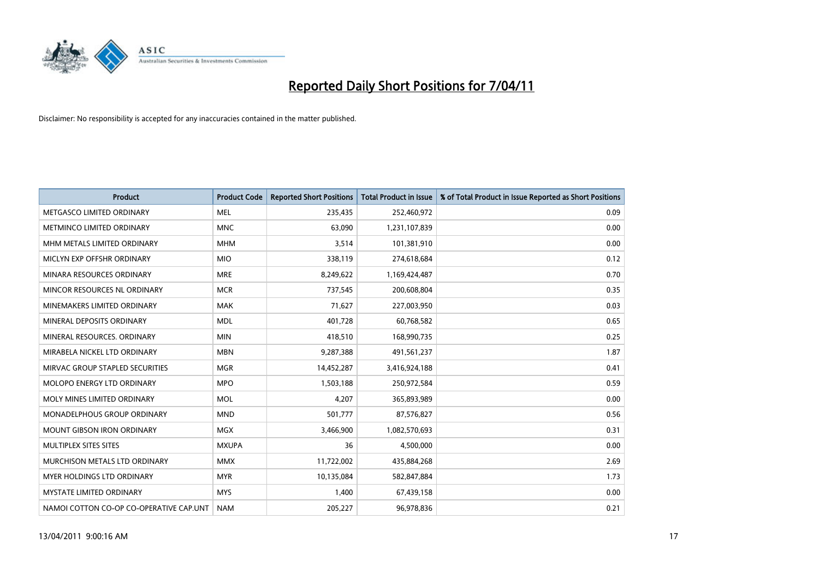

| Product                                 | <b>Product Code</b> | <b>Reported Short Positions</b> | <b>Total Product in Issue</b> | % of Total Product in Issue Reported as Short Positions |
|-----------------------------------------|---------------------|---------------------------------|-------------------------------|---------------------------------------------------------|
| METGASCO LIMITED ORDINARY               | <b>MEL</b>          | 235,435                         | 252,460,972                   | 0.09                                                    |
| METMINCO LIMITED ORDINARY               | <b>MNC</b>          | 63,090                          | 1,231,107,839                 | 0.00                                                    |
| MHM METALS LIMITED ORDINARY             | <b>MHM</b>          | 3,514                           | 101,381,910                   | 0.00                                                    |
| MICLYN EXP OFFSHR ORDINARY              | <b>MIO</b>          | 338,119                         | 274,618,684                   | 0.12                                                    |
| MINARA RESOURCES ORDINARY               | <b>MRE</b>          | 8,249,622                       | 1,169,424,487                 | 0.70                                                    |
| MINCOR RESOURCES NL ORDINARY            | <b>MCR</b>          | 737,545                         | 200,608,804                   | 0.35                                                    |
| MINEMAKERS LIMITED ORDINARY             | <b>MAK</b>          | 71,627                          | 227,003,950                   | 0.03                                                    |
| MINERAL DEPOSITS ORDINARY               | <b>MDL</b>          | 401,728                         | 60,768,582                    | 0.65                                                    |
| MINERAL RESOURCES. ORDINARY             | <b>MIN</b>          | 418,510                         | 168,990,735                   | 0.25                                                    |
| MIRABELA NICKEL LTD ORDINARY            | <b>MBN</b>          | 9,287,388                       | 491,561,237                   | 1.87                                                    |
| MIRVAC GROUP STAPLED SECURITIES         | <b>MGR</b>          | 14,452,287                      | 3,416,924,188                 | 0.41                                                    |
| <b>MOLOPO ENERGY LTD ORDINARY</b>       | <b>MPO</b>          | 1,503,188                       | 250,972,584                   | 0.59                                                    |
| MOLY MINES LIMITED ORDINARY             | <b>MOL</b>          | 4,207                           | 365,893,989                   | 0.00                                                    |
| MONADELPHOUS GROUP ORDINARY             | <b>MND</b>          | 501,777                         | 87,576,827                    | 0.56                                                    |
| <b>MOUNT GIBSON IRON ORDINARY</b>       | <b>MGX</b>          | 3,466,900                       | 1,082,570,693                 | 0.31                                                    |
| MULTIPLEX SITES SITES                   | <b>MXUPA</b>        | 36                              | 4,500,000                     | 0.00                                                    |
| MURCHISON METALS LTD ORDINARY           | <b>MMX</b>          | 11,722,002                      | 435,884,268                   | 2.69                                                    |
| <b>MYER HOLDINGS LTD ORDINARY</b>       | <b>MYR</b>          | 10,135,084                      | 582,847,884                   | 1.73                                                    |
| <b>MYSTATE LIMITED ORDINARY</b>         | <b>MYS</b>          | 1,400                           | 67,439,158                    | 0.00                                                    |
| NAMOI COTTON CO-OP CO-OPERATIVE CAP.UNT | <b>NAM</b>          | 205,227                         | 96,978,836                    | 0.21                                                    |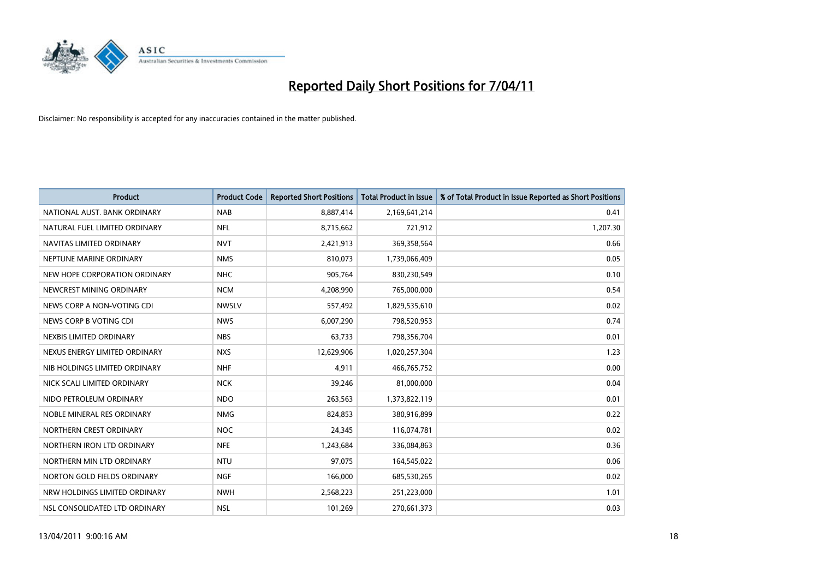

| <b>Product</b>                | <b>Product Code</b> | <b>Reported Short Positions</b> | Total Product in Issue | % of Total Product in Issue Reported as Short Positions |
|-------------------------------|---------------------|---------------------------------|------------------------|---------------------------------------------------------|
| NATIONAL AUST, BANK ORDINARY  | <b>NAB</b>          | 8,887,414                       | 2,169,641,214          | 0.41                                                    |
| NATURAL FUEL LIMITED ORDINARY | <b>NFL</b>          | 8,715,662                       | 721,912                | 1,207.30                                                |
| NAVITAS LIMITED ORDINARY      | <b>NVT</b>          | 2,421,913                       | 369,358,564            | 0.66                                                    |
| NEPTUNE MARINE ORDINARY       | <b>NMS</b>          | 810,073                         | 1,739,066,409          | 0.05                                                    |
| NEW HOPE CORPORATION ORDINARY | <b>NHC</b>          | 905,764                         | 830,230,549            | 0.10                                                    |
| NEWCREST MINING ORDINARY      | <b>NCM</b>          | 4,208,990                       | 765,000,000            | 0.54                                                    |
| NEWS CORP A NON-VOTING CDI    | <b>NWSLV</b>        | 557,492                         | 1,829,535,610          | 0.02                                                    |
| NEWS CORP B VOTING CDI        | <b>NWS</b>          | 6,007,290                       | 798,520,953            | 0.74                                                    |
| NEXBIS LIMITED ORDINARY       | <b>NBS</b>          | 63,733                          | 798,356,704            | 0.01                                                    |
| NEXUS ENERGY LIMITED ORDINARY | <b>NXS</b>          | 12,629,906                      | 1,020,257,304          | 1.23                                                    |
| NIB HOLDINGS LIMITED ORDINARY | <b>NHF</b>          | 4,911                           | 466,765,752            | 0.00                                                    |
| NICK SCALI LIMITED ORDINARY   | <b>NCK</b>          | 39,246                          | 81,000,000             | 0.04                                                    |
| NIDO PETROLEUM ORDINARY       | <b>NDO</b>          | 263,563                         | 1,373,822,119          | 0.01                                                    |
| NOBLE MINERAL RES ORDINARY    | <b>NMG</b>          | 824,853                         | 380,916,899            | 0.22                                                    |
| NORTHERN CREST ORDINARY       | <b>NOC</b>          | 24,345                          | 116,074,781            | 0.02                                                    |
| NORTHERN IRON LTD ORDINARY    | <b>NFE</b>          | 1,243,684                       | 336,084,863            | 0.36                                                    |
| NORTHERN MIN LTD ORDINARY     | <b>NTU</b>          | 97,075                          | 164,545,022            | 0.06                                                    |
| NORTON GOLD FIELDS ORDINARY   | <b>NGF</b>          | 166,000                         | 685,530,265            | 0.02                                                    |
| NRW HOLDINGS LIMITED ORDINARY | <b>NWH</b>          | 2,568,223                       | 251,223,000            | 1.01                                                    |
| NSL CONSOLIDATED LTD ORDINARY | <b>NSL</b>          | 101,269                         | 270,661,373            | 0.03                                                    |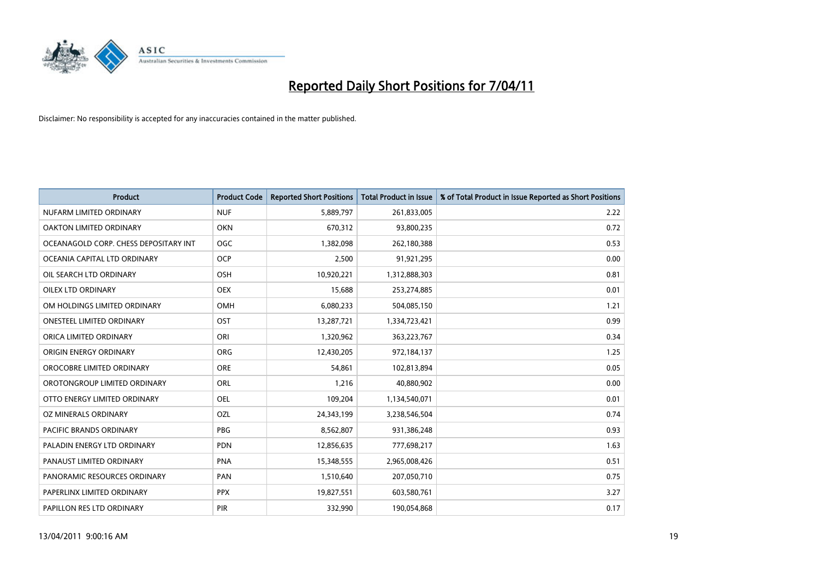

| <b>Product</b>                        | <b>Product Code</b> | <b>Reported Short Positions</b> | Total Product in Issue | % of Total Product in Issue Reported as Short Positions |
|---------------------------------------|---------------------|---------------------------------|------------------------|---------------------------------------------------------|
| NUFARM LIMITED ORDINARY               | <b>NUF</b>          | 5,889,797                       | 261,833,005            | 2.22                                                    |
| OAKTON LIMITED ORDINARY               | <b>OKN</b>          | 670,312                         | 93,800,235             | 0.72                                                    |
| OCEANAGOLD CORP. CHESS DEPOSITARY INT | <b>OGC</b>          | 1,382,098                       | 262,180,388            | 0.53                                                    |
| OCEANIA CAPITAL LTD ORDINARY          | <b>OCP</b>          | 2,500                           | 91,921,295             | 0.00                                                    |
| OIL SEARCH LTD ORDINARY               | OSH                 | 10,920,221                      | 1,312,888,303          | 0.81                                                    |
| OILEX LTD ORDINARY                    | <b>OEX</b>          | 15.688                          | 253,274,885            | 0.01                                                    |
| OM HOLDINGS LIMITED ORDINARY          | OMH                 | 6,080,233                       | 504,085,150            | 1.21                                                    |
| <b>ONESTEEL LIMITED ORDINARY</b>      | OST                 | 13,287,721                      | 1,334,723,421          | 0.99                                                    |
| ORICA LIMITED ORDINARY                | ORI                 | 1,320,962                       | 363,223,767            | 0.34                                                    |
| ORIGIN ENERGY ORDINARY                | <b>ORG</b>          | 12,430,205                      | 972,184,137            | 1.25                                                    |
| OROCOBRE LIMITED ORDINARY             | <b>ORE</b>          | 54,861                          | 102,813,894            | 0.05                                                    |
| OROTONGROUP LIMITED ORDINARY          | ORL                 | 1,216                           | 40,880,902             | 0.00                                                    |
| OTTO ENERGY LIMITED ORDINARY          | OEL                 | 109,204                         | 1,134,540,071          | 0.01                                                    |
| OZ MINERALS ORDINARY                  | OZL                 | 24,343,199                      | 3,238,546,504          | 0.74                                                    |
| <b>PACIFIC BRANDS ORDINARY</b>        | <b>PBG</b>          | 8,562,807                       | 931,386,248            | 0.93                                                    |
| PALADIN ENERGY LTD ORDINARY           | <b>PDN</b>          | 12,856,635                      | 777,698,217            | 1.63                                                    |
| PANAUST LIMITED ORDINARY              | <b>PNA</b>          | 15,348,555                      | 2,965,008,426          | 0.51                                                    |
| PANORAMIC RESOURCES ORDINARY          | <b>PAN</b>          | 1,510,640                       | 207,050,710            | 0.75                                                    |
| PAPERLINX LIMITED ORDINARY            | <b>PPX</b>          | 19,827,551                      | 603,580,761            | 3.27                                                    |
| PAPILLON RES LTD ORDINARY             | PIR                 | 332,990                         | 190,054,868            | 0.17                                                    |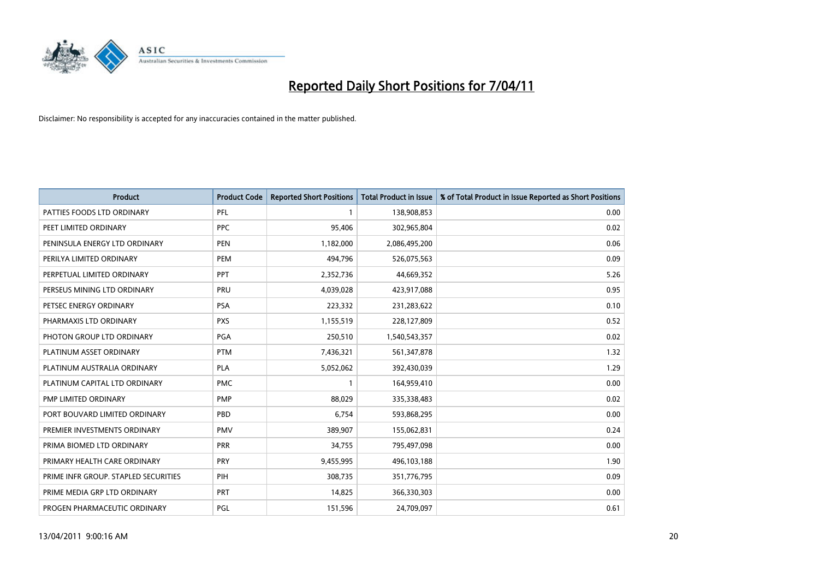

| <b>Product</b>                       | <b>Product Code</b> | <b>Reported Short Positions</b> | <b>Total Product in Issue</b> | % of Total Product in Issue Reported as Short Positions |
|--------------------------------------|---------------------|---------------------------------|-------------------------------|---------------------------------------------------------|
| PATTIES FOODS LTD ORDINARY           | PFL                 |                                 | 138,908,853                   | 0.00                                                    |
| PEET LIMITED ORDINARY                | <b>PPC</b>          | 95,406                          | 302,965,804                   | 0.02                                                    |
| PENINSULA ENERGY LTD ORDINARY        | <b>PEN</b>          | 1,182,000                       | 2,086,495,200                 | 0.06                                                    |
| PERILYA LIMITED ORDINARY             | PEM                 | 494,796                         | 526,075,563                   | 0.09                                                    |
| PERPETUAL LIMITED ORDINARY           | PPT                 | 2,352,736                       | 44,669,352                    | 5.26                                                    |
| PERSEUS MINING LTD ORDINARY          | PRU                 | 4,039,028                       | 423,917,088                   | 0.95                                                    |
| PETSEC ENERGY ORDINARY               | <b>PSA</b>          | 223,332                         | 231,283,622                   | 0.10                                                    |
| PHARMAXIS LTD ORDINARY               | <b>PXS</b>          | 1,155,519                       | 228,127,809                   | 0.52                                                    |
| PHOTON GROUP LTD ORDINARY            | PGA                 | 250,510                         | 1,540,543,357                 | 0.02                                                    |
| PLATINUM ASSET ORDINARY              | <b>PTM</b>          | 7,436,321                       | 561,347,878                   | 1.32                                                    |
| PLATINUM AUSTRALIA ORDINARY          | <b>PLA</b>          | 5,052,062                       | 392,430,039                   | 1.29                                                    |
| PLATINUM CAPITAL LTD ORDINARY        | <b>PMC</b>          |                                 | 164,959,410                   | 0.00                                                    |
| PMP LIMITED ORDINARY                 | <b>PMP</b>          | 88,029                          | 335,338,483                   | 0.02                                                    |
| PORT BOUVARD LIMITED ORDINARY        | PBD                 | 6,754                           | 593,868,295                   | 0.00                                                    |
| PREMIER INVESTMENTS ORDINARY         | <b>PMV</b>          | 389,907                         | 155,062,831                   | 0.24                                                    |
| PRIMA BIOMED LTD ORDINARY            | <b>PRR</b>          | 34,755                          | 795,497,098                   | 0.00                                                    |
| PRIMARY HEALTH CARE ORDINARY         | <b>PRY</b>          | 9,455,995                       | 496,103,188                   | 1.90                                                    |
| PRIME INFR GROUP. STAPLED SECURITIES | PIH                 | 308,735                         | 351,776,795                   | 0.09                                                    |
| PRIME MEDIA GRP LTD ORDINARY         | PRT                 | 14,825                          | 366,330,303                   | 0.00                                                    |
| PROGEN PHARMACEUTIC ORDINARY         | PGL                 | 151,596                         | 24,709,097                    | 0.61                                                    |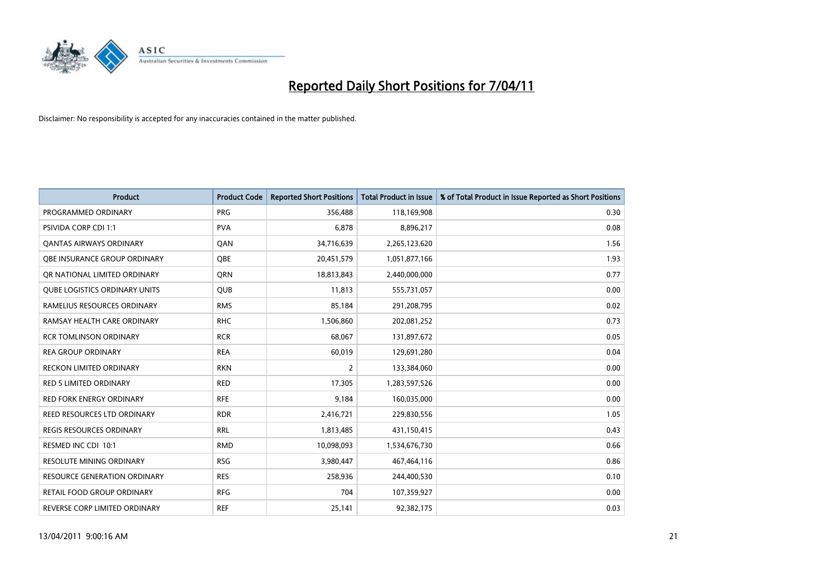

| <b>Product</b>                       | <b>Product Code</b> | <b>Reported Short Positions</b> | Total Product in Issue | % of Total Product in Issue Reported as Short Positions |
|--------------------------------------|---------------------|---------------------------------|------------------------|---------------------------------------------------------|
| PROGRAMMED ORDINARY                  | <b>PRG</b>          | 356,488                         | 118,169,908            | 0.30                                                    |
| <b>PSIVIDA CORP CDI 1:1</b>          | <b>PVA</b>          | 6.878                           | 8,896,217              | 0.08                                                    |
| <b>QANTAS AIRWAYS ORDINARY</b>       | QAN                 | 34,716,639                      | 2,265,123,620          | 1.56                                                    |
| OBE INSURANCE GROUP ORDINARY         | <b>OBE</b>          | 20,451,579                      | 1,051,877,166          | 1.93                                                    |
| OR NATIONAL LIMITED ORDINARY         | <b>ORN</b>          | 18,813,843                      | 2,440,000,000          | 0.77                                                    |
| <b>QUBE LOGISTICS ORDINARY UNITS</b> | <b>QUB</b>          | 11,813                          | 555,731,057            | 0.00                                                    |
| RAMELIUS RESOURCES ORDINARY          | <b>RMS</b>          | 85,184                          | 291,208,795            | 0.02                                                    |
| RAMSAY HEALTH CARE ORDINARY          | <b>RHC</b>          | 1,506,860                       | 202,081,252            | 0.73                                                    |
| <b>RCR TOMLINSON ORDINARY</b>        | <b>RCR</b>          | 68,067                          | 131,897,672            | 0.05                                                    |
| <b>REA GROUP ORDINARY</b>            | <b>REA</b>          | 60.019                          | 129,691,280            | 0.04                                                    |
| <b>RECKON LIMITED ORDINARY</b>       | <b>RKN</b>          | 2                               | 133,384,060            | 0.00                                                    |
| <b>RED 5 LIMITED ORDINARY</b>        | <b>RED</b>          | 17,305                          | 1,283,597,526          | 0.00                                                    |
| <b>RED FORK ENERGY ORDINARY</b>      | <b>RFE</b>          | 9,184                           | 160,035,000            | 0.00                                                    |
| <b>REED RESOURCES LTD ORDINARY</b>   | <b>RDR</b>          | 2,416,721                       | 229,830,556            | 1.05                                                    |
| <b>REGIS RESOURCES ORDINARY</b>      | <b>RRL</b>          | 1,813,485                       | 431,150,415            | 0.43                                                    |
| RESMED INC CDI 10:1                  | <b>RMD</b>          | 10,098,093                      | 1,534,676,730          | 0.66                                                    |
| <b>RESOLUTE MINING ORDINARY</b>      | <b>RSG</b>          | 3,980,447                       | 467,464,116            | 0.86                                                    |
| RESOURCE GENERATION ORDINARY         | <b>RES</b>          | 258,936                         | 244,400,530            | 0.10                                                    |
| <b>RETAIL FOOD GROUP ORDINARY</b>    | <b>RFG</b>          | 704                             | 107,359,927            | 0.00                                                    |
| REVERSE CORP LIMITED ORDINARY        | <b>REF</b>          | 25,141                          | 92,382,175             | 0.03                                                    |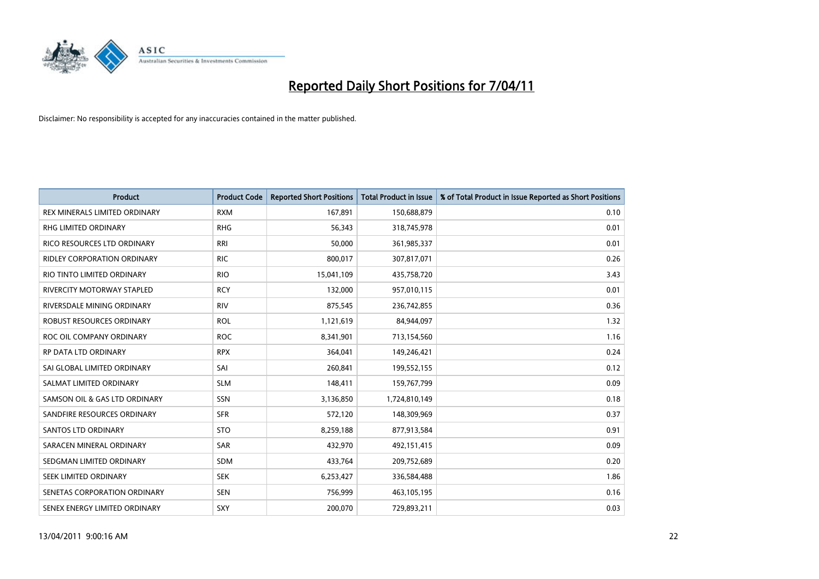

| Product                              | <b>Product Code</b> | <b>Reported Short Positions</b> | <b>Total Product in Issue</b> | % of Total Product in Issue Reported as Short Positions |
|--------------------------------------|---------------------|---------------------------------|-------------------------------|---------------------------------------------------------|
| <b>REX MINERALS LIMITED ORDINARY</b> | <b>RXM</b>          | 167,891                         | 150,688,879                   | 0.10                                                    |
| RHG LIMITED ORDINARY                 | <b>RHG</b>          | 56,343                          | 318,745,978                   | 0.01                                                    |
| RICO RESOURCES LTD ORDINARY          | <b>RRI</b>          | 50,000                          | 361,985,337                   | 0.01                                                    |
| RIDLEY CORPORATION ORDINARY          | <b>RIC</b>          | 800,017                         | 307,817,071                   | 0.26                                                    |
| RIO TINTO LIMITED ORDINARY           | <b>RIO</b>          | 15,041,109                      | 435,758,720                   | 3.43                                                    |
| <b>RIVERCITY MOTORWAY STAPLED</b>    | <b>RCY</b>          | 132,000                         | 957,010,115                   | 0.01                                                    |
| RIVERSDALE MINING ORDINARY           | <b>RIV</b>          | 875,545                         | 236,742,855                   | 0.36                                                    |
| ROBUST RESOURCES ORDINARY            | <b>ROL</b>          | 1,121,619                       | 84,944,097                    | 1.32                                                    |
| ROC OIL COMPANY ORDINARY             | <b>ROC</b>          | 8,341,901                       | 713,154,560                   | 1.16                                                    |
| <b>RP DATA LTD ORDINARY</b>          | <b>RPX</b>          | 364,041                         | 149,246,421                   | 0.24                                                    |
| SAI GLOBAL LIMITED ORDINARY          | SAI                 | 260,841                         | 199,552,155                   | 0.12                                                    |
| SALMAT LIMITED ORDINARY              | <b>SLM</b>          | 148,411                         | 159,767,799                   | 0.09                                                    |
| SAMSON OIL & GAS LTD ORDINARY        | <b>SSN</b>          | 3,136,850                       | 1,724,810,149                 | 0.18                                                    |
| SANDFIRE RESOURCES ORDINARY          | <b>SFR</b>          | 572,120                         | 148,309,969                   | 0.37                                                    |
| SANTOS LTD ORDINARY                  | <b>STO</b>          | 8,259,188                       | 877,913,584                   | 0.91                                                    |
| SARACEN MINERAL ORDINARY             | SAR                 | 432,970                         | 492,151,415                   | 0.09                                                    |
| SEDGMAN LIMITED ORDINARY             | <b>SDM</b>          | 433,764                         | 209,752,689                   | 0.20                                                    |
| SEEK LIMITED ORDINARY                | <b>SEK</b>          | 6,253,427                       | 336,584,488                   | 1.86                                                    |
| SENETAS CORPORATION ORDINARY         | <b>SEN</b>          | 756,999                         | 463,105,195                   | 0.16                                                    |
| SENEX ENERGY LIMITED ORDINARY        | SXY                 | 200,070                         | 729,893,211                   | 0.03                                                    |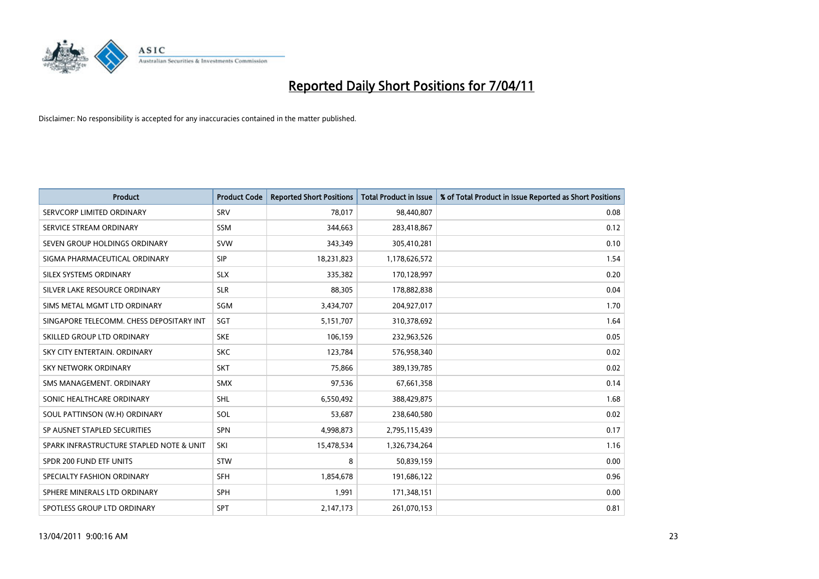

| <b>Product</b>                           | <b>Product Code</b> | <b>Reported Short Positions</b> | <b>Total Product in Issue</b> | % of Total Product in Issue Reported as Short Positions |
|------------------------------------------|---------------------|---------------------------------|-------------------------------|---------------------------------------------------------|
| SERVCORP LIMITED ORDINARY                | SRV                 | 78,017                          | 98,440,807                    | 0.08                                                    |
| SERVICE STREAM ORDINARY                  | <b>SSM</b>          | 344,663                         | 283,418,867                   | 0.12                                                    |
| SEVEN GROUP HOLDINGS ORDINARY            | <b>SVW</b>          | 343,349                         | 305,410,281                   | 0.10                                                    |
| SIGMA PHARMACEUTICAL ORDINARY            | <b>SIP</b>          | 18,231,823                      | 1,178,626,572                 | 1.54                                                    |
| SILEX SYSTEMS ORDINARY                   | <b>SLX</b>          | 335,382                         | 170,128,997                   | 0.20                                                    |
| SILVER LAKE RESOURCE ORDINARY            | <b>SLR</b>          | 88.305                          | 178,882,838                   | 0.04                                                    |
| SIMS METAL MGMT LTD ORDINARY             | <b>SGM</b>          | 3,434,707                       | 204,927,017                   | 1.70                                                    |
| SINGAPORE TELECOMM. CHESS DEPOSITARY INT | SGT                 | 5,151,707                       | 310,378,692                   | 1.64                                                    |
| SKILLED GROUP LTD ORDINARY               | <b>SKE</b>          | 106,159                         | 232,963,526                   | 0.05                                                    |
| SKY CITY ENTERTAIN, ORDINARY             | <b>SKC</b>          | 123,784                         | 576,958,340                   | 0.02                                                    |
| <b>SKY NETWORK ORDINARY</b>              | <b>SKT</b>          | 75,866                          | 389,139,785                   | 0.02                                                    |
| SMS MANAGEMENT, ORDINARY                 | <b>SMX</b>          | 97,536                          | 67,661,358                    | 0.14                                                    |
| SONIC HEALTHCARE ORDINARY                | <b>SHL</b>          | 6,550,492                       | 388,429,875                   | 1.68                                                    |
| SOUL PATTINSON (W.H) ORDINARY            | SOL                 | 53,687                          | 238,640,580                   | 0.02                                                    |
| SP AUSNET STAPLED SECURITIES             | <b>SPN</b>          | 4,998,873                       | 2,795,115,439                 | 0.17                                                    |
| SPARK INFRASTRUCTURE STAPLED NOTE & UNIT | SKI                 | 15,478,534                      | 1,326,734,264                 | 1.16                                                    |
| SPDR 200 FUND ETF UNITS                  | <b>STW</b>          | 8                               | 50,839,159                    | 0.00                                                    |
| SPECIALTY FASHION ORDINARY               | <b>SFH</b>          | 1,854,678                       | 191,686,122                   | 0.96                                                    |
| SPHERE MINERALS LTD ORDINARY             | <b>SPH</b>          | 1,991                           | 171,348,151                   | 0.00                                                    |
| SPOTLESS GROUP LTD ORDINARY              | <b>SPT</b>          | 2,147,173                       | 261,070,153                   | 0.81                                                    |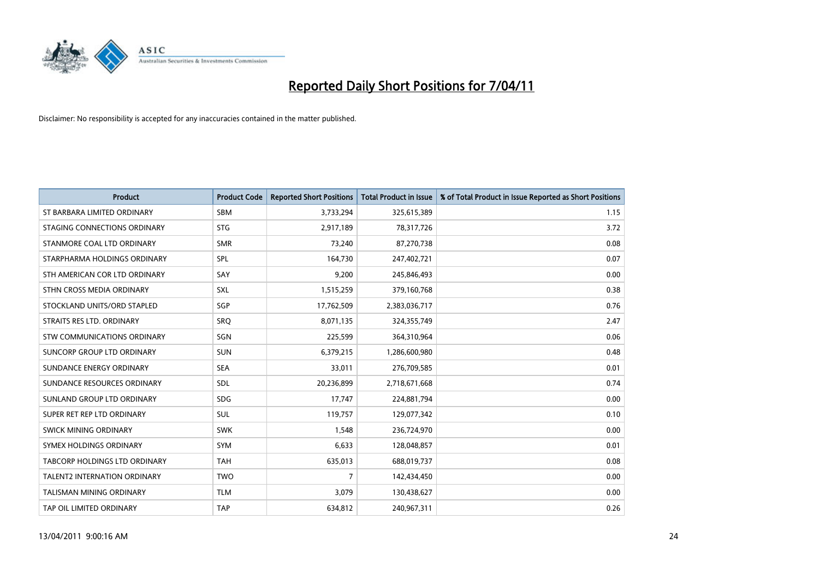

| <b>Product</b>                       | <b>Product Code</b> | <b>Reported Short Positions</b> | <b>Total Product in Issue</b> | % of Total Product in Issue Reported as Short Positions |
|--------------------------------------|---------------------|---------------------------------|-------------------------------|---------------------------------------------------------|
| ST BARBARA LIMITED ORDINARY          | <b>SBM</b>          | 3,733,294                       | 325,615,389                   | 1.15                                                    |
| STAGING CONNECTIONS ORDINARY         | <b>STG</b>          | 2,917,189                       | 78,317,726                    | 3.72                                                    |
| STANMORE COAL LTD ORDINARY           | <b>SMR</b>          | 73,240                          | 87,270,738                    | 0.08                                                    |
| STARPHARMA HOLDINGS ORDINARY         | SPL                 | 164,730                         | 247,402,721                   | 0.07                                                    |
| STH AMERICAN COR LTD ORDINARY        | SAY                 | 9,200                           | 245,846,493                   | 0.00                                                    |
| STHN CROSS MEDIA ORDINARY            | SXL                 | 1,515,259                       | 379,160,768                   | 0.38                                                    |
| STOCKLAND UNITS/ORD STAPLED          | SGP                 | 17,762,509                      | 2,383,036,717                 | 0.76                                                    |
| STRAITS RES LTD. ORDINARY            | SRQ                 | 8,071,135                       | 324,355,749                   | 2.47                                                    |
| STW COMMUNICATIONS ORDINARY          | SGN                 | 225,599                         | 364,310,964                   | 0.06                                                    |
| SUNCORP GROUP LTD ORDINARY           | <b>SUN</b>          | 6,379,215                       | 1,286,600,980                 | 0.48                                                    |
| SUNDANCE ENERGY ORDINARY             | <b>SEA</b>          | 33,011                          | 276,709,585                   | 0.01                                                    |
| SUNDANCE RESOURCES ORDINARY          | SDL                 | 20,236,899                      | 2,718,671,668                 | 0.74                                                    |
| SUNLAND GROUP LTD ORDINARY           | <b>SDG</b>          | 17,747                          | 224,881,794                   | 0.00                                                    |
| SUPER RET REP LTD ORDINARY           | SUL                 | 119,757                         | 129,077,342                   | 0.10                                                    |
| SWICK MINING ORDINARY                | <b>SWK</b>          | 1,548                           | 236,724,970                   | 0.00                                                    |
| SYMEX HOLDINGS ORDINARY              | <b>SYM</b>          | 6,633                           | 128,048,857                   | 0.01                                                    |
| <b>TABCORP HOLDINGS LTD ORDINARY</b> | <b>TAH</b>          | 635,013                         | 688,019,737                   | 0.08                                                    |
| TALENT2 INTERNATION ORDINARY         | <b>TWO</b>          | 7                               | 142,434,450                   | 0.00                                                    |
| <b>TALISMAN MINING ORDINARY</b>      | <b>TLM</b>          | 3,079                           | 130,438,627                   | 0.00                                                    |
| TAP OIL LIMITED ORDINARY             | <b>TAP</b>          | 634,812                         | 240,967,311                   | 0.26                                                    |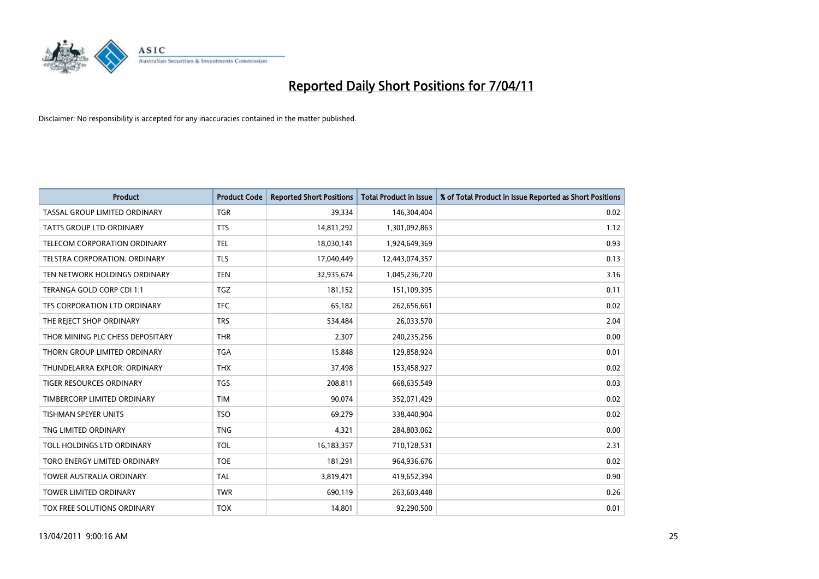

| <b>Product</b>                       | <b>Product Code</b> | <b>Reported Short Positions</b> | <b>Total Product in Issue</b> | % of Total Product in Issue Reported as Short Positions |
|--------------------------------------|---------------------|---------------------------------|-------------------------------|---------------------------------------------------------|
| <b>TASSAL GROUP LIMITED ORDINARY</b> | <b>TGR</b>          | 39,334                          | 146,304,404                   | 0.02                                                    |
| TATTS GROUP LTD ORDINARY             | <b>TTS</b>          | 14,811,292                      | 1,301,092,863                 | 1.12                                                    |
| <b>TELECOM CORPORATION ORDINARY</b>  | <b>TEL</b>          | 18,030,141                      | 1,924,649,369                 | 0.93                                                    |
| TELSTRA CORPORATION. ORDINARY        | <b>TLS</b>          | 17,040,449                      | 12,443,074,357                | 0.13                                                    |
| TEN NETWORK HOLDINGS ORDINARY        | <b>TEN</b>          | 32,935,674                      | 1,045,236,720                 | 3.16                                                    |
| TERANGA GOLD CORP CDI 1:1            | <b>TGZ</b>          | 181,152                         | 151,109,395                   | 0.11                                                    |
| TFS CORPORATION LTD ORDINARY         | <b>TFC</b>          | 65.182                          | 262,656,661                   | 0.02                                                    |
| THE REJECT SHOP ORDINARY             | <b>TRS</b>          | 534,484                         | 26,033,570                    | 2.04                                                    |
| THOR MINING PLC CHESS DEPOSITARY     | <b>THR</b>          | 2,307                           | 240,235,256                   | 0.00                                                    |
| THORN GROUP LIMITED ORDINARY         | <b>TGA</b>          | 15,848                          | 129,858,924                   | 0.01                                                    |
| THUNDELARRA EXPLOR, ORDINARY         | <b>THX</b>          | 37,498                          | 153,458,927                   | 0.02                                                    |
| <b>TIGER RESOURCES ORDINARY</b>      | <b>TGS</b>          | 208,811                         | 668,635,549                   | 0.03                                                    |
| TIMBERCORP LIMITED ORDINARY          | <b>TIM</b>          | 90.074                          | 352,071,429                   | 0.02                                                    |
| <b>TISHMAN SPEYER UNITS</b>          | <b>TSO</b>          | 69.279                          | 338,440,904                   | 0.02                                                    |
| TNG LIMITED ORDINARY                 | <b>TNG</b>          | 4,321                           | 284,803,062                   | 0.00                                                    |
| TOLL HOLDINGS LTD ORDINARY           | <b>TOL</b>          | 16,183,357                      | 710,128,531                   | 2.31                                                    |
| TORO ENERGY LIMITED ORDINARY         | <b>TOE</b>          | 181,291                         | 964,936,676                   | 0.02                                                    |
| TOWER AUSTRALIA ORDINARY             | <b>TAL</b>          | 3,819,471                       | 419,652,394                   | 0.90                                                    |
| <b>TOWER LIMITED ORDINARY</b>        | <b>TWR</b>          | 690,119                         | 263,603,448                   | 0.26                                                    |
| TOX FREE SOLUTIONS ORDINARY          | <b>TOX</b>          | 14.801                          | 92,290,500                    | 0.01                                                    |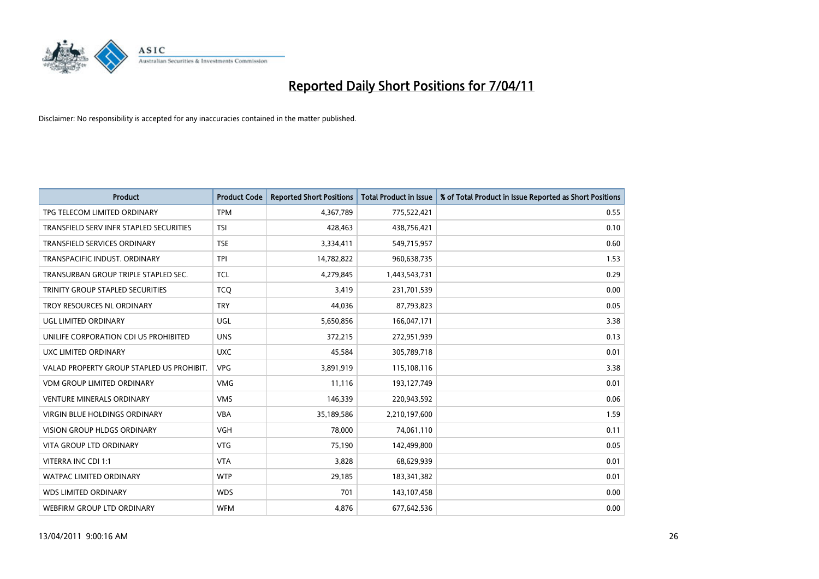

| <b>Product</b>                            | <b>Product Code</b> | <b>Reported Short Positions</b> | Total Product in Issue | % of Total Product in Issue Reported as Short Positions |
|-------------------------------------------|---------------------|---------------------------------|------------------------|---------------------------------------------------------|
| TPG TELECOM LIMITED ORDINARY              | <b>TPM</b>          | 4,367,789                       | 775,522,421            | 0.55                                                    |
| TRANSFIELD SERV INFR STAPLED SECURITIES   | <b>TSI</b>          | 428,463                         | 438,756,421            | 0.10                                                    |
| <b>TRANSFIELD SERVICES ORDINARY</b>       | <b>TSE</b>          | 3,334,411                       | 549,715,957            | 0.60                                                    |
| TRANSPACIFIC INDUST. ORDINARY             | <b>TPI</b>          | 14,782,822                      | 960,638,735            | 1.53                                                    |
| TRANSURBAN GROUP TRIPLE STAPLED SEC.      | <b>TCL</b>          | 4,279,845                       | 1,443,543,731          | 0.29                                                    |
| TRINITY GROUP STAPLED SECURITIES          | <b>TCO</b>          | 3,419                           | 231,701,539            | 0.00                                                    |
| TROY RESOURCES NL ORDINARY                | <b>TRY</b>          | 44,036                          | 87,793,823             | 0.05                                                    |
| UGL LIMITED ORDINARY                      | <b>UGL</b>          | 5,650,856                       | 166,047,171            | 3.38                                                    |
| UNILIFE CORPORATION CDI US PROHIBITED     | <b>UNS</b>          | 372,215                         | 272,951,939            | 0.13                                                    |
| UXC LIMITED ORDINARY                      | <b>UXC</b>          | 45,584                          | 305,789,718            | 0.01                                                    |
| VALAD PROPERTY GROUP STAPLED US PROHIBIT. | <b>VPG</b>          | 3,891,919                       | 115,108,116            | 3.38                                                    |
| <b>VDM GROUP LIMITED ORDINARY</b>         | <b>VMG</b>          | 11,116                          | 193,127,749            | 0.01                                                    |
| <b>VENTURE MINERALS ORDINARY</b>          | <b>VMS</b>          | 146,339                         | 220,943,592            | 0.06                                                    |
| <b>VIRGIN BLUE HOLDINGS ORDINARY</b>      | <b>VBA</b>          | 35,189,586                      | 2,210,197,600          | 1.59                                                    |
| <b>VISION GROUP HLDGS ORDINARY</b>        | <b>VGH</b>          | 78,000                          | 74,061,110             | 0.11                                                    |
| <b>VITA GROUP LTD ORDINARY</b>            | <b>VTG</b>          | 75,190                          | 142,499,800            | 0.05                                                    |
| VITERRA INC CDI 1:1                       | <b>VTA</b>          | 3,828                           | 68,629,939             | 0.01                                                    |
| WATPAC LIMITED ORDINARY                   | <b>WTP</b>          | 29,185                          | 183,341,382            | 0.01                                                    |
| <b>WDS LIMITED ORDINARY</b>               | <b>WDS</b>          | 701                             | 143,107,458            | 0.00                                                    |
| WEBFIRM GROUP LTD ORDINARY                | <b>WFM</b>          | 4,876                           | 677,642,536            | 0.00                                                    |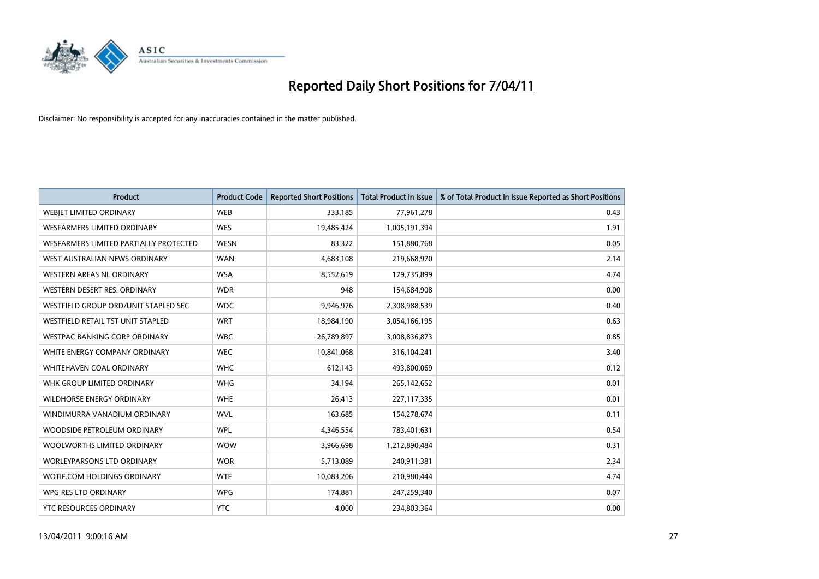

| <b>Product</b>                         | <b>Product Code</b> | <b>Reported Short Positions</b> | Total Product in Issue | % of Total Product in Issue Reported as Short Positions |
|----------------------------------------|---------------------|---------------------------------|------------------------|---------------------------------------------------------|
| <b>WEBJET LIMITED ORDINARY</b>         | <b>WEB</b>          | 333,185                         | 77,961,278             | 0.43                                                    |
| WESFARMERS LIMITED ORDINARY            | <b>WES</b>          | 19,485,424                      | 1,005,191,394          | 1.91                                                    |
| WESFARMERS LIMITED PARTIALLY PROTECTED | <b>WESN</b>         | 83,322                          | 151,880,768            | 0.05                                                    |
| WEST AUSTRALIAN NEWS ORDINARY          | <b>WAN</b>          | 4,683,108                       | 219,668,970            | 2.14                                                    |
| <b>WESTERN AREAS NL ORDINARY</b>       | <b>WSA</b>          | 8,552,619                       | 179,735,899            | 4.74                                                    |
| WESTERN DESERT RES. ORDINARY           | <b>WDR</b>          | 948                             | 154,684,908            | 0.00                                                    |
| WESTFIELD GROUP ORD/UNIT STAPLED SEC   | <b>WDC</b>          | 9,946,976                       | 2,308,988,539          | 0.40                                                    |
| WESTFIELD RETAIL TST UNIT STAPLED      | <b>WRT</b>          | 18,984,190                      | 3,054,166,195          | 0.63                                                    |
| WESTPAC BANKING CORP ORDINARY          | <b>WBC</b>          | 26,789,897                      | 3,008,836,873          | 0.85                                                    |
| WHITE ENERGY COMPANY ORDINARY          | <b>WEC</b>          | 10,841,068                      | 316,104,241            | 3.40                                                    |
| WHITEHAVEN COAL ORDINARY               | <b>WHC</b>          | 612,143                         | 493,800,069            | 0.12                                                    |
| WHK GROUP LIMITED ORDINARY             | <b>WHG</b>          | 34,194                          | 265,142,652            | 0.01                                                    |
| <b>WILDHORSE ENERGY ORDINARY</b>       | <b>WHE</b>          | 26.413                          | 227,117,335            | 0.01                                                    |
| WINDIMURRA VANADIUM ORDINARY           | <b>WVL</b>          | 163,685                         | 154,278,674            | 0.11                                                    |
| WOODSIDE PETROLEUM ORDINARY            | <b>WPL</b>          | 4,346,554                       | 783,401,631            | 0.54                                                    |
| WOOLWORTHS LIMITED ORDINARY            | <b>WOW</b>          | 3,966,698                       | 1,212,890,484          | 0.31                                                    |
| <b>WORLEYPARSONS LTD ORDINARY</b>      | <b>WOR</b>          | 5,713,089                       | 240,911,381            | 2.34                                                    |
| WOTIF.COM HOLDINGS ORDINARY            | <b>WTF</b>          | 10,083,206                      | 210,980,444            | 4.74                                                    |
| WPG RES LTD ORDINARY                   | <b>WPG</b>          | 174,881                         | 247,259,340            | 0.07                                                    |
| YTC RESOURCES ORDINARY                 | <b>YTC</b>          | 4,000                           | 234,803,364            | 0.00                                                    |